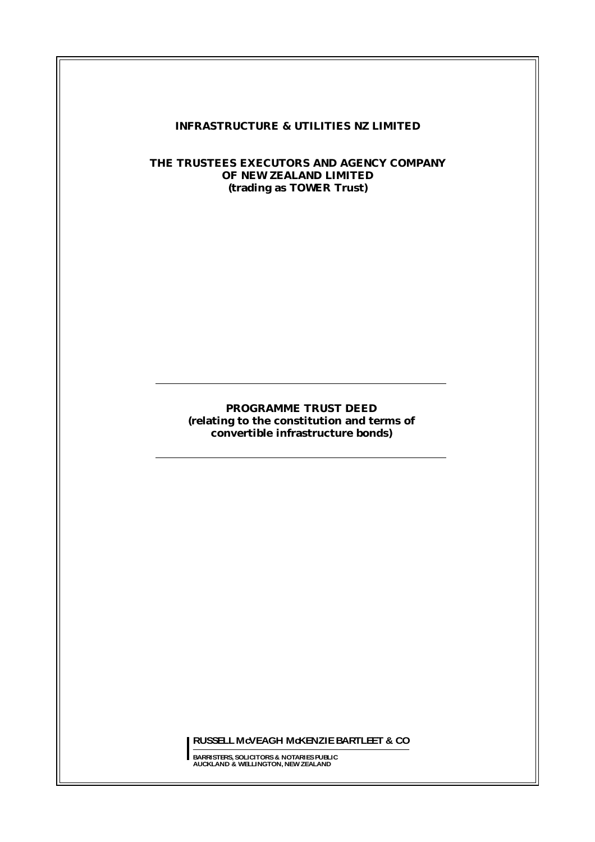#### **INFRASTRUCTURE & UTILITIES NZ LIMITED**

## **THE TRUSTEES EXECUTORS AND AGENCY COMPANY OF NEW ZEALAND LIMITED (trading as TOWER Trust)**

## **PROGRAMME TRUST DEED (relating to the constitution and terms of convertible infrastructure bonds)**

**RUSSELL McVEAGH McKENZIEBARTLEET & CO**

**BARRISTERS, SOLICITORS & NOTARIES PUBLIC AUCKLAND & WELLINGTON, NEW ZEALAND**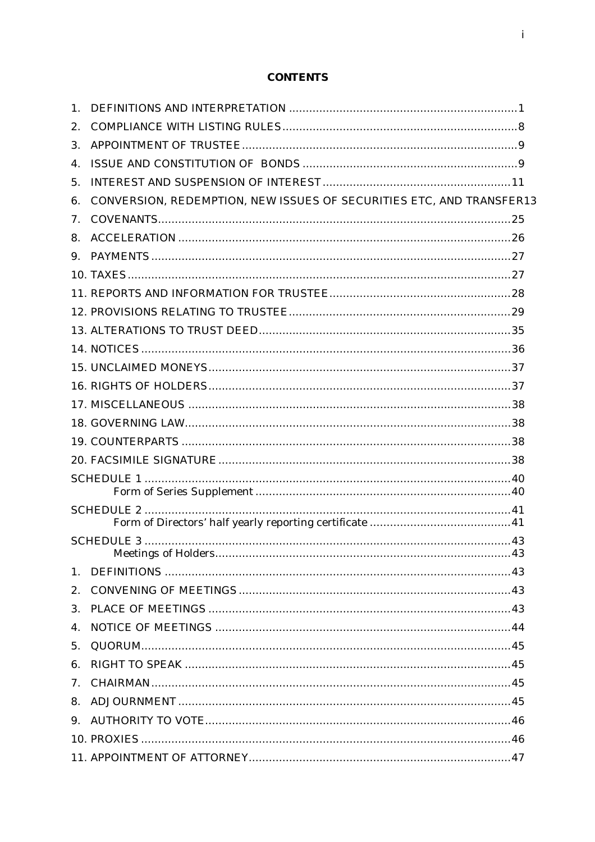# **CONTENTS**

| 1.                             |                                                                      |  |
|--------------------------------|----------------------------------------------------------------------|--|
| 2.                             |                                                                      |  |
| 3.                             |                                                                      |  |
| $\mathbf{4}$ .                 |                                                                      |  |
| 5.                             |                                                                      |  |
| 6.                             | CONVERSION, REDEMPTION, NEW ISSUES OF SECURITIES ETC, AND TRANSFER13 |  |
| 7.                             |                                                                      |  |
| 8.                             |                                                                      |  |
|                                |                                                                      |  |
|                                |                                                                      |  |
|                                |                                                                      |  |
|                                |                                                                      |  |
|                                |                                                                      |  |
|                                |                                                                      |  |
|                                |                                                                      |  |
|                                |                                                                      |  |
|                                |                                                                      |  |
|                                |                                                                      |  |
|                                |                                                                      |  |
|                                |                                                                      |  |
|                                |                                                                      |  |
|                                |                                                                      |  |
|                                |                                                                      |  |
|                                |                                                                      |  |
|                                |                                                                      |  |
| 1 <sub>1</sub>                 |                                                                      |  |
| 2.                             |                                                                      |  |
| 3.                             |                                                                      |  |
| 4.                             |                                                                      |  |
| 5.                             |                                                                      |  |
| 6.                             |                                                                      |  |
| $7_{\scriptscriptstyle{\sim}}$ |                                                                      |  |
|                                |                                                                      |  |
|                                |                                                                      |  |
|                                |                                                                      |  |
|                                |                                                                      |  |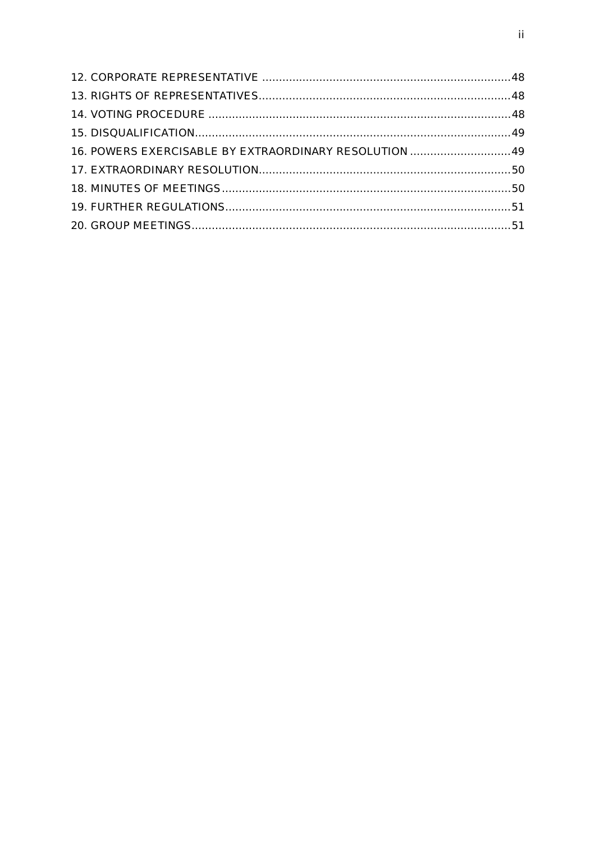| 16. POWERS EXERCISABLE BY EXTRAORDINARY RESOLUTION  49 |  |
|--------------------------------------------------------|--|
|                                                        |  |
|                                                        |  |
|                                                        |  |
|                                                        |  |
|                                                        |  |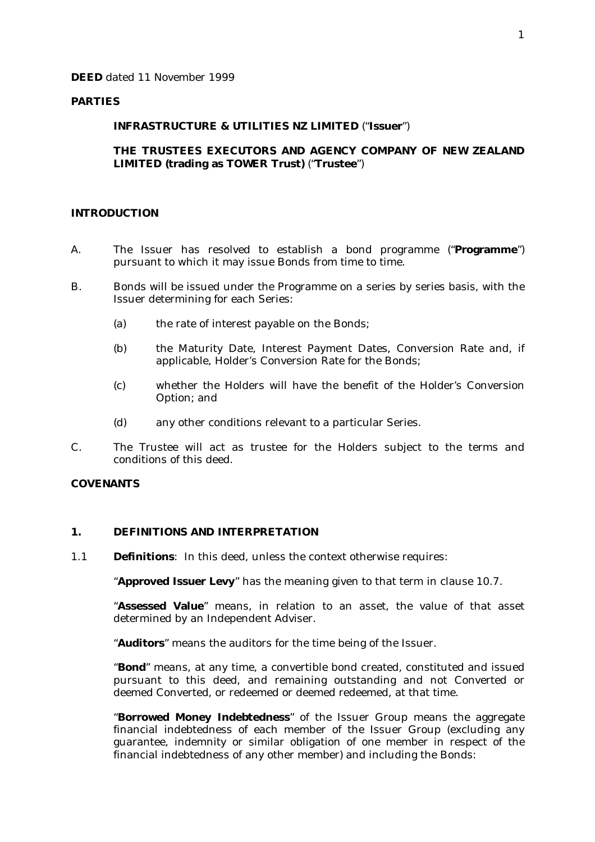#### **PARTIES**

#### **INFRASTRUCTURE & UTILITIES NZ LIMITED** ("**Issuer**")

#### **THE TRUSTEES EXECUTORS AND AGENCY COMPANY OF NEW ZEALAND LIMITED (trading as TOWER Trust)** ("**Trustee**")

#### **INTRODUCTION**

- A. The Issuer has resolved to establish a bond programme ("**Programme**") pursuant to which it may issue Bonds from time to time.
- B. Bonds will be issued under the Programme on a series by series basis, with the Issuer determining for each Series:
	- (a) the rate of interest payable on the Bonds;
	- (b) the Maturity Date, Interest Payment Dates, Conversion Rate and, if applicable, Holder's Conversion Rate for the Bonds;
	- (c) whether the Holders will have the benefit of the Holder's Conversion Option; and
	- (d) any other conditions relevant to a particular Series.
- C. The Trustee will act as trustee for the Holders subject to the terms and conditions of this deed.

#### **COVENANTS**

#### **1. DEFINITIONS AND INTERPRETATION**

1.1 **Definitions**: In this deed, unless the context otherwise requires:

"**Approved Issuer Levy**" has the meaning given to that term in clause 10.7.

"**Assessed Value**" means, in relation to an asset, the value of that asset determined by an Independent Adviser.

"**Auditors**" means the auditors for the time being of the Issuer.

"**Bond**" means, at any time, a convertible bond created, constituted and issued pursuant to this deed, and remaining outstanding and not Converted or deemed Converted, or redeemed or deemed redeemed, at that time.

"**Borrowed Money Indebtedness**" of the Issuer Group means the aggregate financial indebtedness of each member of the Issuer Group (excluding any guarantee, indemnity or similar obligation of one member in respect of the financial indebtedness of any other member) and including the Bonds: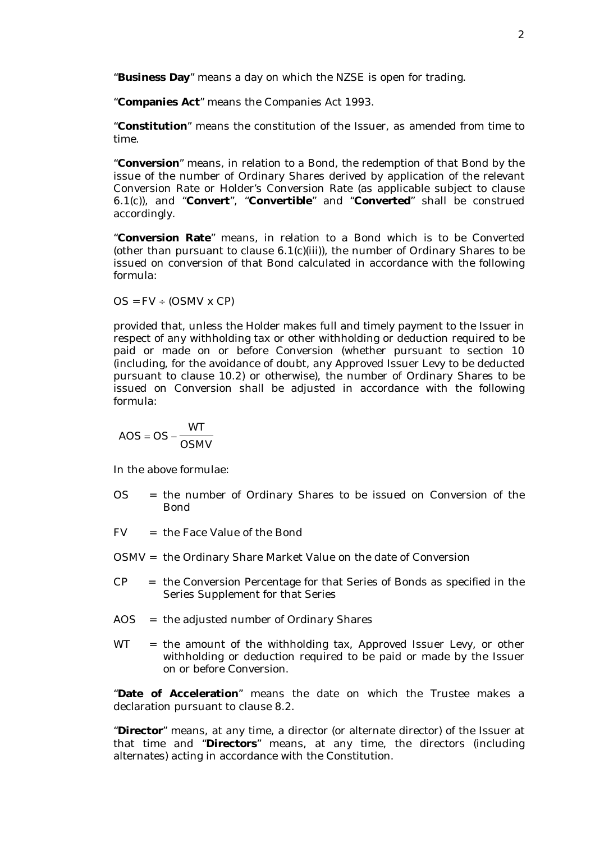"**Business Day**" means a day on which the NZSE is open for trading.

"**Companies Act**" means the Companies Act 1993.

"**Constitution**" means the constitution of the Issuer, as amended from time to time.

"**Conversion**" means, in relation to a Bond, the redemption of that Bond by the issue of the number of Ordinary Shares derived by application of the relevant Conversion Rate or Holder's Conversion Rate (as applicable subject to clause 6.1(c)), and "**Convert**", "**Convertible**" and "**Converted**" shall be construed accordingly.

"**Conversion Rate**" means, in relation to a Bond which is to be Converted (other than pursuant to clause 6.1(c)(iii)), the number of Ordinary Shares to be issued on conversion of that Bond calculated in accordance with the following formula:

 $OS = FV \div (OSMV \times CP)$ 

provided that, unless the Holder makes full and timely payment to the Issuer in respect of any withholding tax or other withholding or deduction required to be paid or made on or before Conversion (whether pursuant to section 10 (including, for the avoidance of doubt, any Approved Issuer Levy to be deducted pursuant to clause 10.2) or otherwise), the number of Ordinary Shares to be issued on Conversion shall be adjusted in accordance with the following formula:

$$
AOS = OS - \frac{WT}{OSMV}
$$

In the above formulae:

- OS = the number of Ordinary Shares to be issued on Conversion of the Bond
- FV = the Face Value of the Bond
- OSMV = the Ordinary Share Market Value on the date of Conversion
- $CP =$  the Conversion Percentage for that Series of Bonds as specified in the Series Supplement for that Series
- AOS = the adjusted number of Ordinary Shares
- $WT$  = the amount of the withholding tax, Approved Issuer Levy, or other withholding or deduction required to be paid or made by the Issuer on or before Conversion.

"**Date of Acceleration**" means the date on which the Trustee makes a declaration pursuant to clause 8.2.

"**Director**" means, at any time, a director (or alternate director) of the Issuer at that time and "**Directors**" means, at any time, the directors (including alternates) acting in accordance with the Constitution.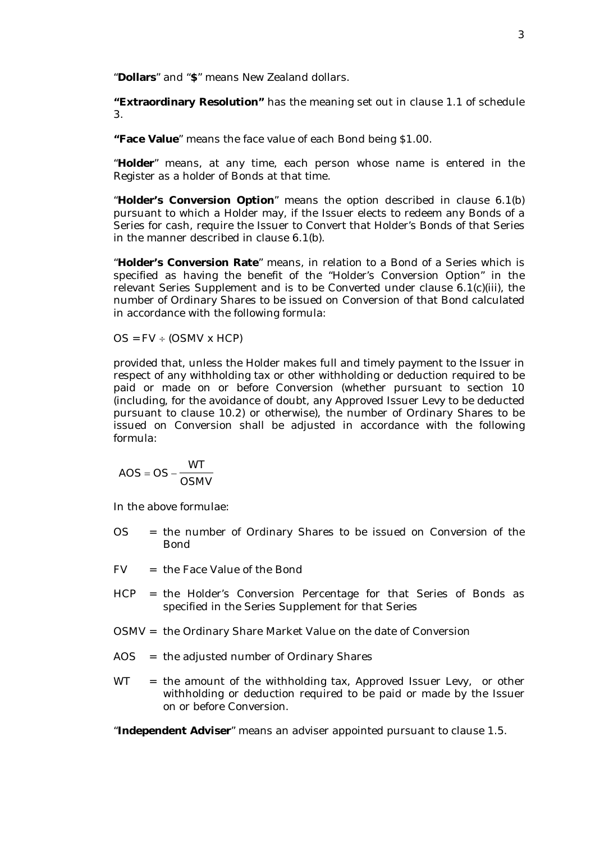"**Dollars**" and "**\$**" means New Zealand dollars.

**"Extraordinary Resolution"** has the meaning set out in clause 1.1 of schedule 3.

**"Face Value**" means the face value of each Bond being \$1.00.

"**Holder**" means, at any time, each person whose name is entered in the Register as a holder of Bonds at that time.

"**Holder's Conversion Option**" means the option described in clause 6.1(b) pursuant to which a Holder may, if the Issuer elects to redeem any Bonds of a Series for cash, require the Issuer to Convert that Holder's Bonds of that Series in the manner described in clause 6.1(b).

"**Holder's Conversion Rate**" means, in relation to a Bond of a Series which is specified as having the benefit of the "Holder's Conversion Option" in the relevant Series Supplement and is to be Converted under clause 6.1(c)(iii), the number of Ordinary Shares to be issued on Conversion of that Bond calculated in accordance with the following formula:

 $OS = FV \div (OSMV \times HCP)$ 

provided that, unless the Holder makes full and timely payment to the Issuer in respect of any withholding tax or other withholding or deduction required to be paid or made on or before Conversion (whether pursuant to section 10 (including, for the avoidance of doubt, any Approved Issuer Levy to be deducted pursuant to clause 10.2) or otherwise), the number of Ordinary Shares to be issued on Conversion shall be adjusted in accordance with the following formula:

$$
AOS = OS - \frac{WT}{OSMV}
$$

In the above formulae:

- OS = the number of Ordinary Shares to be issued on Conversion of the Bond
- FV = the Face Value of the Bond
- HCP = the Holder's Conversion Percentage for that Series of Bonds as specified in the Series Supplement for that Series
- OSMV = the Ordinary Share Market Value on the date of Conversion
- AOS = the adjusted number of Ordinary Shares
- WT = the amount of the withholding tax, Approved Issuer Levy, or other withholding or deduction required to be paid or made by the Issuer on or before Conversion.

"**Independent Adviser**" means an adviser appointed pursuant to clause 1.5.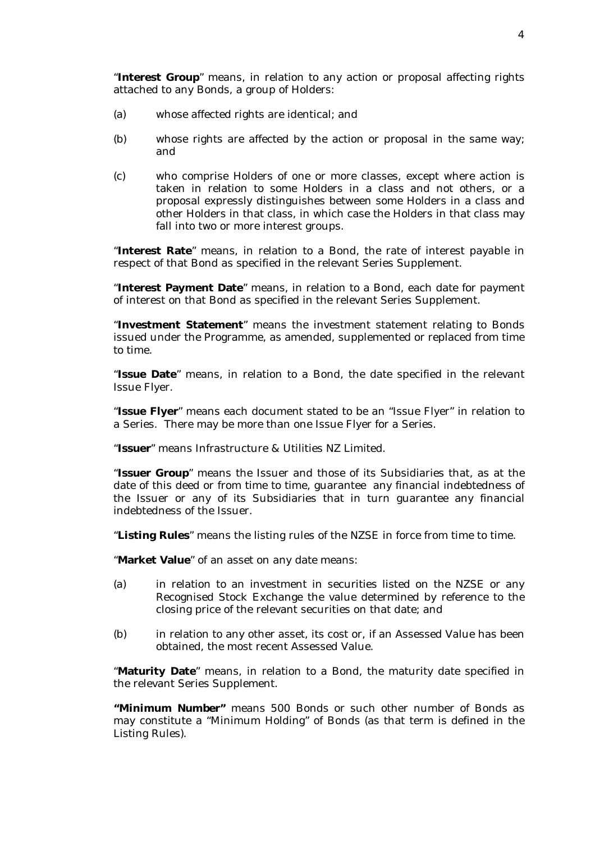"**Interest Group**" means, in relation to any action or proposal affecting rights attached to any Bonds, a group of Holders:

- (a) whose affected rights are identical; and
- (b) whose rights are affected by the action or proposal in the same way; and
- (c) who comprise Holders of one or more classes, except where action is taken in relation to some Holders in a class and not others, or a proposal expressly distinguishes between some Holders in a class and other Holders in that class, in which case the Holders in that class may fall into two or more interest groups.

"**Interest Rate**" means, in relation to a Bond, the rate of interest payable in respect of that Bond as specified in the relevant Series Supplement.

"**Interest Payment Date**" means, in relation to a Bond, each date for payment of interest on that Bond as specified in the relevant Series Supplement.

"**Investment Statement**" means the investment statement relating to Bonds issued under the Programme, as amended, supplemented or replaced from time to time.

"**Issue Date**" means, in relation to a Bond, the date specified in the relevant Issue Flyer.

"**Issue Flyer**" means each document stated to be an "Issue Flyer" in relation to a Series. There may be more than one Issue Flyer for a Series.

"**Issuer**" means Infrastructure & Utilities NZ Limited.

"**Issuer Group**" means the Issuer and those of its Subsidiaries that, as at the date of this deed or from time to time, guarantee any financial indebtedness of the Issuer or any of its Subsidiaries that in turn guarantee any financial indebtedness of the Issuer.

"**Listing Rules**" means the listing rules of the NZSE in force from time to time.

"**Market Value**" of an asset on any date means:

- (a) in relation to an investment in securities listed on the NZSE or any Recognised Stock Exchange the value determined by reference to the closing price of the relevant securities on that date; and
- (b) in relation to any other asset, its cost or, if an Assessed Value has been obtained, the most recent Assessed Value.

"**Maturity Date**" means, in relation to a Bond, the maturity date specified in the relevant Series Supplement.

**"Minimum Number"** means 500 Bonds or such other number of Bonds as may constitute a "Minimum Holding" of Bonds (as that term is defined in the Listing Rules).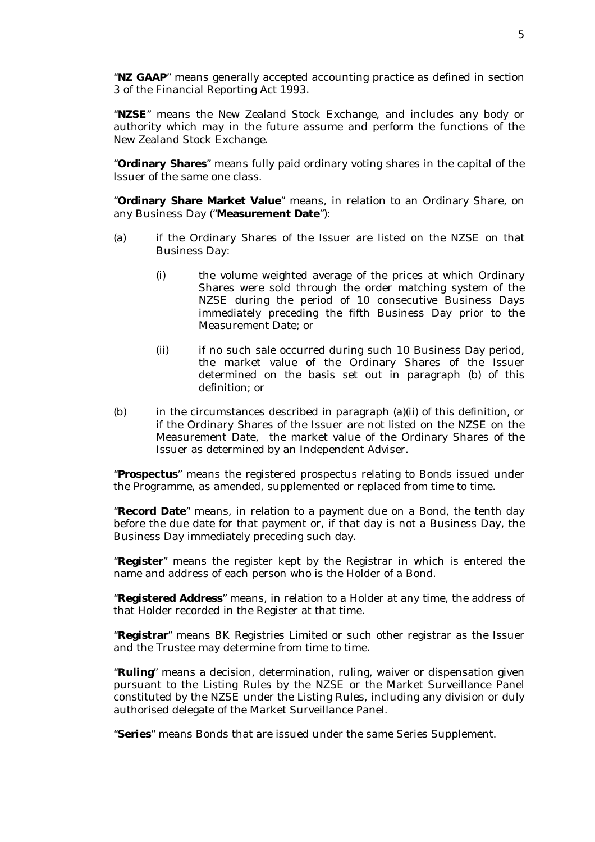"**NZ GAAP**" means generally accepted accounting practice as defined in section 3 of the Financial Reporting Act 1993.

"**NZSE**" means the New Zealand Stock Exchange, and includes any body or authority which may in the future assume and perform the functions of the New Zealand Stock Exchange.

"**Ordinary Shares**" means fully paid ordinary voting shares in the capital of the Issuer of the same one class.

"**Ordinary Share Market Value**" means, in relation to an Ordinary Share, on any Business Day ("**Measurement Date**"):

- (a) if the Ordinary Shares of the Issuer are listed on the NZSE on that Business Day:
	- (i) the volume weighted average of the prices at which Ordinary Shares were sold through the order matching system of the NZSE during the period of 10 consecutive Business Days immediately preceding the fifth Business Day prior to the Measurement Date; or
	- (ii) if no such sale occurred during such 10 Business Day period, the market value of the Ordinary Shares of the Issuer determined on the basis set out in paragraph (b) of this definition; or
- (b) in the circumstances described in paragraph (a)(ii) of this definition, or if the Ordinary Shares of the Issuer are not listed on the NZSE on the Measurement Date, the market value of the Ordinary Shares of the Issuer as determined by an Independent Adviser.

"**Prospectus**" means the registered prospectus relating to Bonds issued under the Programme, as amended, supplemented or replaced from time to time.

"**Record Date**" means, in relation to a payment due on a Bond, the tenth day before the due date for that payment or, if that day is not a Business Day, the Business Day immediately preceding such day.

"**Register**" means the register kept by the Registrar in which is entered the name and address of each person who is the Holder of a Bond.

"**Registered Address**" means, in relation to a Holder at any time, the address of that Holder recorded in the Register at that time.

"**Registrar**" means BK Registries Limited or such other registrar as the Issuer and the Trustee may determine from time to time.

"**Ruling**" means a decision, determination, ruling, waiver or dispensation given pursuant to the Listing Rules by the NZSE or the Market Surveillance Panel constituted by the NZSE under the Listing Rules, including any division or duly authorised delegate of the Market Surveillance Panel.

"**Series**" means Bonds that are issued under the same Series Supplement.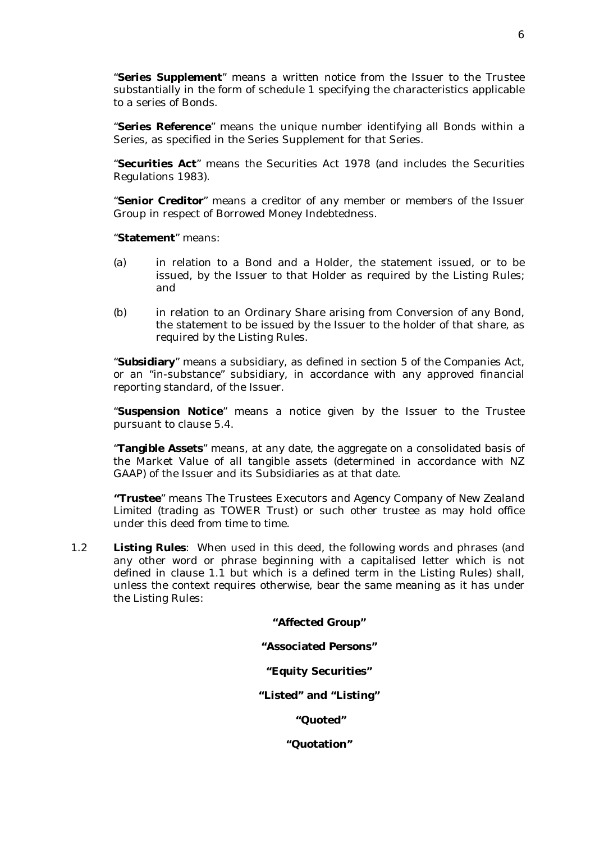"**Series Supplement**" means a written notice from the Issuer to the Trustee substantially in the form of schedule 1 specifying the characteristics applicable to a series of Bonds.

"**Series Reference**" means the unique number identifying all Bonds within a Series, as specified in the Series Supplement for that Series.

"**Securities Act**" means the Securities Act 1978 (and includes the Securities Regulations 1983).

"**Senior Creditor**" means a creditor of any member or members of the Issuer Group in respect of Borrowed Money Indebtedness.

"**Statement**" means:

- (a) in relation to a Bond and a Holder, the statement issued, or to be issued, by the Issuer to that Holder as required by the Listing Rules; and
- (b) in relation to an Ordinary Share arising from Conversion of any Bond, the statement to be issued by the Issuer to the holder of that share, as required by the Listing Rules.

"**Subsidiary**" means a subsidiary, as defined in section 5 of the Companies Act, or an "in-substance" subsidiary, in accordance with any approved financial reporting standard, of the Issuer.

"**Suspension Notice**" means a notice given by the Issuer to the Trustee pursuant to clause 5.4.

"**Tangible Assets**" means, at any date, the aggregate on a consolidated basis of the Market Value of all tangible assets (determined in accordance with NZ GAAP) of the Issuer and its Subsidiaries as at that date.

**"Trustee**" means The Trustees Executors and Agency Company of New Zealand Limited (trading as TOWER Trust) or such other trustee as may hold office under this deed from time to time.

1.2 **Listing Rules**: When used in this deed, the following words and phrases (and any other word or phrase beginning with a capitalised letter which is not defined in clause 1.1 but which is a defined term in the Listing Rules) shall, unless the context requires otherwise, bear the same meaning as it has under the Listing Rules:

**"Affected Group"** 

**"Associated Persons"** 

**"Equity Securities"** 

**"Listed" and "Listing"** 

 **"Quoted"** 

**"Quotation"**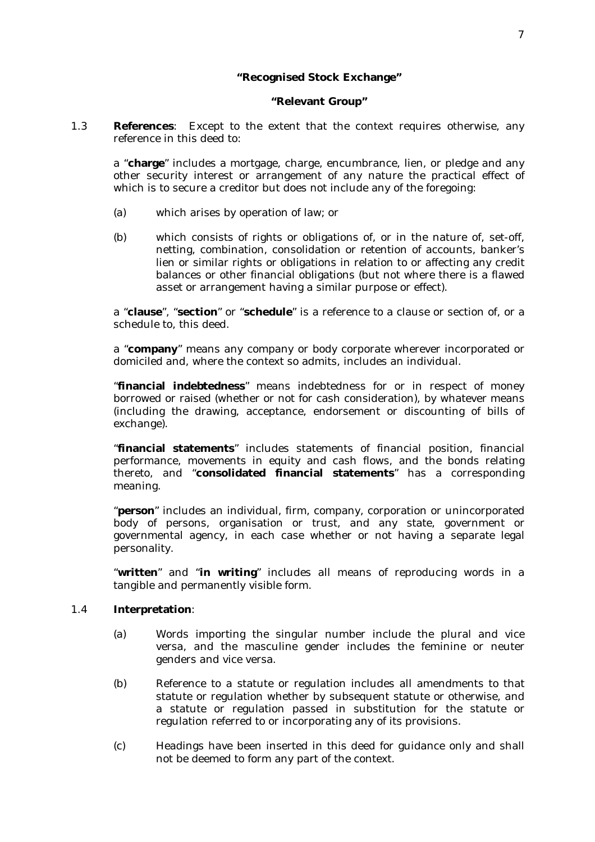## **"Recognised Stock Exchange"**

#### **"Relevant Group"**

1.3 **References**: Except to the extent that the context requires otherwise, any reference in this deed to:

a "**charge**" includes a mortgage, charge, encumbrance, lien, or pledge and any other security interest or arrangement of any nature the practical effect of which is to secure a creditor but does not include any of the foregoing:

- (a) which arises by operation of law; or
- (b) which consists of rights or obligations of, or in the nature of, set-off, netting, combination, consolidation or retention of accounts, banker's lien or similar rights or obligations in relation to or affecting any credit balances or other financial obligations (but not where there is a flawed asset or arrangement having a similar purpose or effect).

a "**clause**", "**section**" or "**schedule**" is a reference to a clause or section of, or a schedule to, this deed.

a "**company**" means any company or body corporate wherever incorporated or domiciled and, where the context so admits, includes an individual.

"**financial indebtedness**" means indebtedness for or in respect of money borrowed or raised (whether or not for cash consideration), by whatever means (including the drawing, acceptance, endorsement or discounting of bills of exchange).

"**financial statements**" includes statements of financial position, financial performance, movements in equity and cash flows, and the bonds relating thereto, and "**consolidated financial statements**" has a corresponding meaning.

"**person**" includes an individual, firm, company, corporation or unincorporated body of persons, organisation or trust, and any state, government or governmental agency, in each case whether or not having a separate legal personality.

"**written**" and "**in writing**" includes all means of reproducing words in a tangible and permanently visible form.

#### 1.4 **Interpretation**:

- (a) Words importing the singular number include the plural and vice versa, and the masculine gender includes the feminine or neuter genders and vice versa.
- (b) Reference to a statute or regulation includes all amendments to that statute or regulation whether by subsequent statute or otherwise, and a statute or regulation passed in substitution for the statute or regulation referred to or incorporating any of its provisions.
- (c) Headings have been inserted in this deed for guidance only and shall not be deemed to form any part of the context.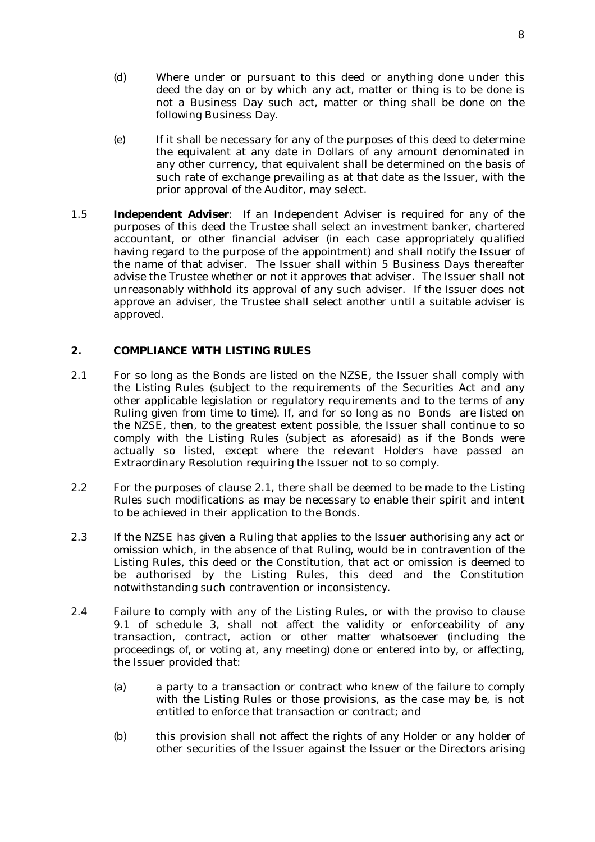- (d) Where under or pursuant to this deed or anything done under this deed the day on or by which any act, matter or thing is to be done is not a Business Day such act, matter or thing shall be done on the following Business Day.
- (e) If it shall be necessary for any of the purposes of this deed to determine the equivalent at any date in Dollars of any amount denominated in any other currency, that equivalent shall be determined on the basis of such rate of exchange prevailing as at that date as the Issuer, with the prior approval of the Auditor, may select.
- 1.5 **Independent Adviser**: If an Independent Adviser is required for any of the purposes of this deed the Trustee shall select an investment banker, chartered accountant, or other financial adviser (in each case appropriately qualified having regard to the purpose of the appointment) and shall notify the Issuer of the name of that adviser. The Issuer shall within 5 Business Days thereafter advise the Trustee whether or not it approves that adviser. The Issuer shall not unreasonably withhold its approval of any such adviser. If the Issuer does not approve an adviser, the Trustee shall select another until a suitable adviser is approved.

## **2. COMPLIANCE WITH LISTING RULES**

- 2.1 For so long as the Bonds are listed on the NZSE, the Issuer shall comply with the Listing Rules (subject to the requirements of the Securities Act and any other applicable legislation or regulatory requirements and to the terms of any Ruling given from time to time). If, and for so long as no Bonds are listed on the NZSE, then, to the greatest extent possible, the Issuer shall continue to so comply with the Listing Rules (subject as aforesaid) as if the Bonds were actually so listed, except where the relevant Holders have passed an Extraordinary Resolution requiring the Issuer not to so comply.
- 2.2 For the purposes of clause 2.1, there shall be deemed to be made to the Listing Rules such modifications as may be necessary to enable their spirit and intent to be achieved in their application to the Bonds.
- 2.3 If the NZSE has given a Ruling that applies to the Issuer authorising any act or omission which, in the absence of that Ruling, would be in contravention of the Listing Rules, this deed or the Constitution, that act or omission is deemed to be authorised by the Listing Rules, this deed and the Constitution notwithstanding such contravention or inconsistency.
- 2.4 Failure to comply with any of the Listing Rules, or with the proviso to clause 9.1 of schedule 3, shall not affect the validity or enforceability of any transaction, contract, action or other matter whatsoever (including the proceedings of, or voting at, any meeting) done or entered into by, or affecting, the Issuer provided that:
	- (a) a party to a transaction or contract who knew of the failure to comply with the Listing Rules or those provisions, as the case may be, is not entitled to enforce that transaction or contract; and
	- (b) this provision shall not affect the rights of any Holder or any holder of other securities of the Issuer against the Issuer or the Directors arising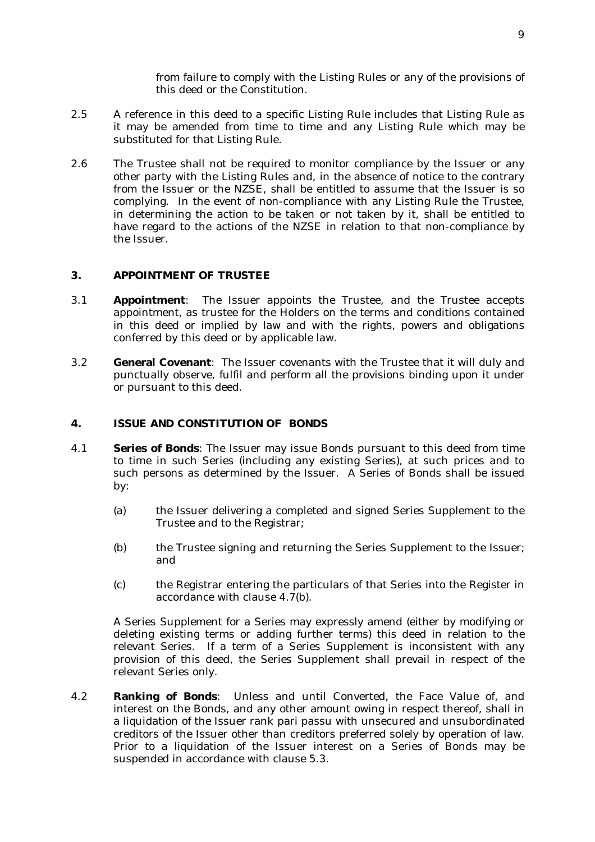from failure to comply with the Listing Rules or any of the provisions of this deed or the Constitution.

- 2.5 A reference in this deed to a specific Listing Rule includes that Listing Rule as it may be amended from time to time and any Listing Rule which may be substituted for that Listing Rule.
- 2.6 The Trustee shall not be required to monitor compliance by the Issuer or any other party with the Listing Rules and, in the absence of notice to the contrary from the Issuer or the NZSE, shall be entitled to assume that the Issuer is so complying. In the event of non-compliance with any Listing Rule the Trustee, in determining the action to be taken or not taken by it, shall be entitled to have regard to the actions of the NZSE in relation to that non-compliance by the Issuer.

## **3. APPOINTMENT OF TRUSTEE**

- 3.1 **Appointment**: The Issuer appoints the Trustee, and the Trustee accepts appointment, as trustee for the Holders on the terms and conditions contained in this deed or implied by law and with the rights, powers and obligations conferred by this deed or by applicable law.
- 3.2 **General Covenant**: The Issuer covenants with the Trustee that it will duly and punctually observe, fulfil and perform all the provisions binding upon it under or pursuant to this deed.

### **4. ISSUE AND CONSTITUTION OF BONDS**

- 4.1 **Series of Bonds**: The Issuer may issue Bonds pursuant to this deed from time to time in such Series (including any existing Series), at such prices and to such persons as determined by the Issuer. A Series of Bonds shall be issued by:
	- (a) the Issuer delivering a completed and signed Series Supplement to the Trustee and to the Registrar;
	- (b) the Trustee signing and returning the Series Supplement to the Issuer; and
	- (c) the Registrar entering the particulars of that Series into the Register in accordance with clause 4.7(b).

A Series Supplement for a Series may expressly amend (either by modifying or deleting existing terms or adding further terms) this deed in relation to the relevant Series. If a term of a Series Supplement is inconsistent with any provision of this deed, the Series Supplement shall prevail in respect of the relevant Series only.

4.2 **Ranking of Bonds**: Unless and until Converted, the Face Value of, and interest on the Bonds, and any other amount owing in respect thereof, shall in a liquidation of the Issuer rank pari passu with unsecured and unsubordinated creditors of the Issuer other than creditors preferred solely by operation of law. Prior to a liquidation of the Issuer interest on a Series of Bonds may be suspended in accordance with clause 5.3.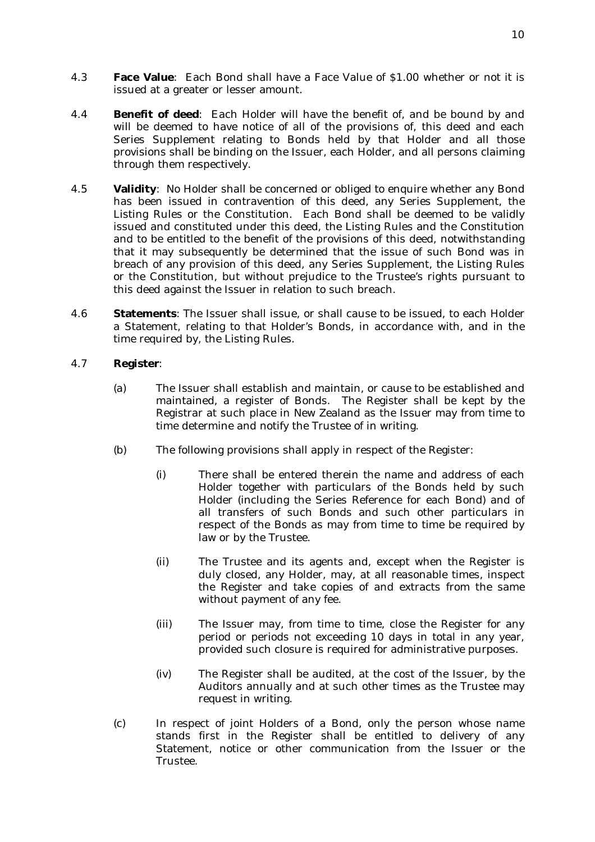- 4.3 **Face Value**: Each Bond shall have a Face Value of \$1.00 whether or not it is issued at a greater or lesser amount.
- 4.4 **Benefit of deed**: Each Holder will have the benefit of, and be bound by and will be deemed to have notice of all of the provisions of, this deed and each Series Supplement relating to Bonds held by that Holder and all those provisions shall be binding on the Issuer, each Holder, and all persons claiming through them respectively.
- 4.5 **Validity**: No Holder shall be concerned or obliged to enquire whether any Bond has been issued in contravention of this deed, any Series Supplement, the Listing Rules or the Constitution. Each Bond shall be deemed to be validly issued and constituted under this deed, the Listing Rules and the Constitution and to be entitled to the benefit of the provisions of this deed, notwithstanding that it may subsequently be determined that the issue of such Bond was in breach of any provision of this deed, any Series Supplement, the Listing Rules or the Constitution, but without prejudice to the Trustee's rights pursuant to this deed against the Issuer in relation to such breach.
- 4.6 **Statements**: The Issuer shall issue, or shall cause to be issued, to each Holder a Statement, relating to that Holder's Bonds, in accordance with, and in the time required by, the Listing Rules.

## 4.7 **Register**:

- (a) The Issuer shall establish and maintain, or cause to be established and maintained, a register of Bonds. The Register shall be kept by the Registrar at such place in New Zealand as the Issuer may from time to time determine and notify the Trustee of in writing.
- (b) The following provisions shall apply in respect of the Register:
	- (i) There shall be entered therein the name and address of each Holder together with particulars of the Bonds held by such Holder (including the Series Reference for each Bond) and of all transfers of such Bonds and such other particulars in respect of the Bonds as may from time to time be required by law or by the Trustee.
	- (ii) The Trustee and its agents and, except when the Register is duly closed, any Holder, may, at all reasonable times, inspect the Register and take copies of and extracts from the same without payment of any fee.
	- (iii) The Issuer may, from time to time, close the Register for any period or periods not exceeding 10 days in total in any year, provided such closure is required for administrative purposes.
	- (iv) The Register shall be audited, at the cost of the Issuer, by the Auditors annually and at such other times as the Trustee may request in writing.
- (c) In respect of joint Holders of a Bond, only the person whose name stands first in the Register shall be entitled to delivery of any Statement, notice or other communication from the Issuer or the Trustee.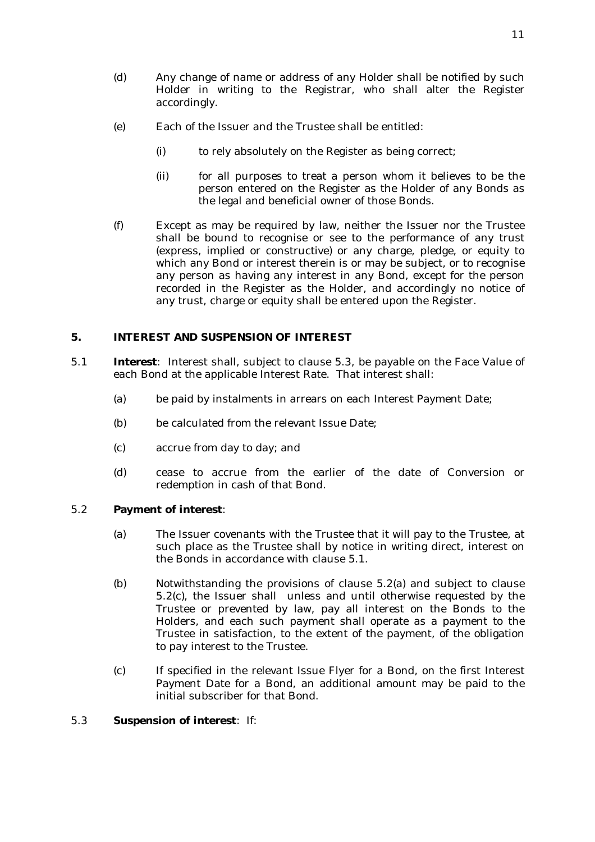- (d) Any change of name or address of any Holder shall be notified by such Holder in writing to the Registrar, who shall alter the Register accordingly.
- (e) Each of the Issuer and the Trustee shall be entitled:
	- (i) to rely absolutely on the Register as being correct;
	- (ii) for all purposes to treat a person whom it believes to be the person entered on the Register as the Holder of any Bonds as the legal and beneficial owner of those Bonds.
- (f) Except as may be required by law, neither the Issuer nor the Trustee shall be bound to recognise or see to the performance of any trust (express, implied or constructive) or any charge, pledge, or equity to which any Bond or interest therein is or may be subject, or to recognise any person as having any interest in any Bond, except for the person recorded in the Register as the Holder, and accordingly no notice of any trust, charge or equity shall be entered upon the Register.

## **5. INTEREST AND SUSPENSION OF INTEREST**

- 5.1 **Interest**: Interest shall, subject to clause 5.3, be payable on the Face Value of each Bond at the applicable Interest Rate. That interest shall:
	- (a) be paid by instalments in arrears on each Interest Payment Date;
	- (b) be calculated from the relevant Issue Date;
	- (c) accrue from day to day; and
	- (d) cease to accrue from the earlier of the date of Conversion or redemption in cash of that Bond.

## 5.2 **Payment of interest**:

- (a) The Issuer covenants with the Trustee that it will pay to the Trustee, at such place as the Trustee shall by notice in writing direct, interest on the Bonds in accordance with clause 5.1.
- (b) Notwithstanding the provisions of clause 5.2(a) and subject to clause 5.2(c), the Issuer shall unless and until otherwise requested by the Trustee or prevented by law, pay all interest on the Bonds to the Holders, and each such payment shall operate as a payment to the Trustee in satisfaction, to the extent of the payment, of the obligation to pay interest to the Trustee.
- (c) If specified in the relevant Issue Flyer for a Bond, on the first Interest Payment Date for a Bond, an additional amount may be paid to the initial subscriber for that Bond.

## 5.3 **Suspension of interest**: If: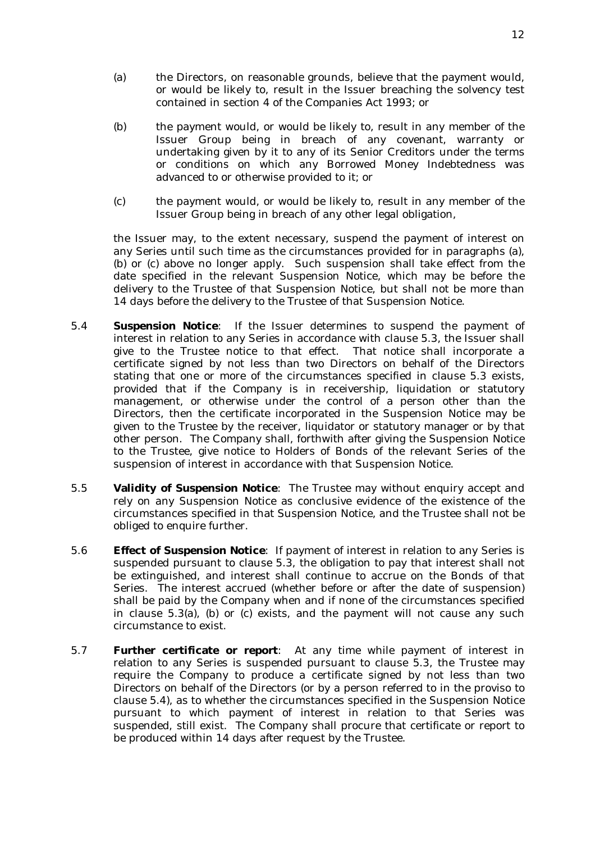- (a) the Directors, on reasonable grounds, believe that the payment would, or would be likely to, result in the Issuer breaching the solvency test contained in section 4 of the Companies Act 1993; or
- (b) the payment would, or would be likely to, result in any member of the Issuer Group being in breach of any covenant, warranty or undertaking given by it to any of its Senior Creditors under the terms or conditions on which any Borrowed Money Indebtedness was advanced to or otherwise provided to it; or
- (c) the payment would, or would be likely to, result in any member of the Issuer Group being in breach of any other legal obligation,

the Issuer may, to the extent necessary, suspend the payment of interest on any Series until such time as the circumstances provided for in paragraphs (a), (b) or (c) above no longer apply. Such suspension shall take effect from the date specified in the relevant Suspension Notice, which may be before the delivery to the Trustee of that Suspension Notice, but shall not be more than 14 days before the delivery to the Trustee of that Suspension Notice.

- 5.4 **Suspension Notice**: If the Issuer determines to suspend the payment of interest in relation to any Series in accordance with clause 5.3, the Issuer shall give to the Trustee notice to that effect. That notice shall incorporate a certificate signed by not less than two Directors on behalf of the Directors stating that one or more of the circumstances specified in clause 5.3 exists, provided that if the Company is in receivership, liquidation or statutory management, or otherwise under the control of a person other than the Directors, then the certificate incorporated in the Suspension Notice may be given to the Trustee by the receiver, liquidator or statutory manager or by that other person. The Company shall, forthwith after giving the Suspension Notice to the Trustee, give notice to Holders of Bonds of the relevant Series of the suspension of interest in accordance with that Suspension Notice.
- 5.5 **Validity of Suspension Notice**: The Trustee may without enquiry accept and rely on any Suspension Notice as conclusive evidence of the existence of the circumstances specified in that Suspension Notice, and the Trustee shall not be obliged to enquire further.
- 5.6 **Effect of Suspension Notice**: If payment of interest in relation to any Series is suspended pursuant to clause 5.3, the obligation to pay that interest shall not be extinguished, and interest shall continue to accrue on the Bonds of that Series. The interest accrued (whether before or after the date of suspension) shall be paid by the Company when and if none of the circumstances specified in clause 5.3(a), (b) or (c) exists, and the payment will not cause any such circumstance to exist.
- 5.7 **Further certificate or report**: At any time while payment of interest in relation to any Series is suspended pursuant to clause 5.3, the Trustee may require the Company to produce a certificate signed by not less than two Directors on behalf of the Directors (or by a person referred to in the proviso to clause 5.4), as to whether the circumstances specified in the Suspension Notice pursuant to which payment of interest in relation to that Series was suspended, still exist. The Company shall procure that certificate or report to be produced within 14 days after request by the Trustee.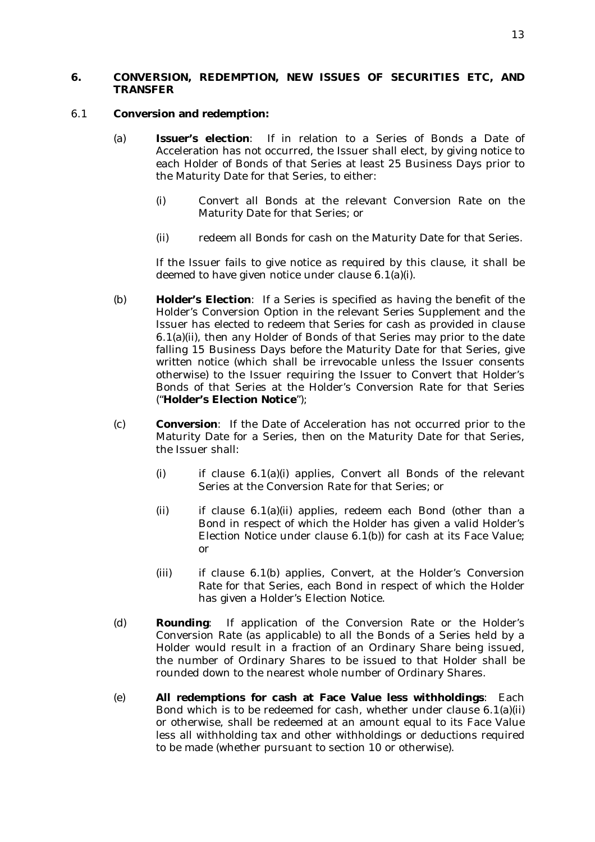# **6. CONVERSION, REDEMPTION, NEW ISSUES OF SECURITIES ETC, AND TRANSFER**

#### 6.1 **Conversion and redemption:**

- (a) **Issuer's election**: If in relation to a Series of Bonds a Date of Acceleration has not occurred, the Issuer shall elect, by giving notice to each Holder of Bonds of that Series at least 25 Business Days prior to the Maturity Date for that Series, to either:
	- (i) Convert all Bonds at the relevant Conversion Rate on the Maturity Date for that Series; or
	- (ii) redeem all Bonds for cash on the Maturity Date for that Series.

If the Issuer fails to give notice as required by this clause, it shall be deemed to have given notice under clause 6.1(a)(i).

- (b) **Holder's Election**: If a Series is specified as having the benefit of the Holder's Conversion Option in the relevant Series Supplement and the Issuer has elected to redeem that Series for cash as provided in clause 6.1(a)(ii), then any Holder of Bonds of that Series may prior to the date falling 15 Business Days before the Maturity Date for that Series, give written notice (which shall be irrevocable unless the Issuer consents otherwise) to the Issuer requiring the Issuer to Convert that Holder's Bonds of that Series at the Holder's Conversion Rate for that Series ("**Holder's Election Notice**");
- (c) **Conversion**: If the Date of Acceleration has not occurred prior to the Maturity Date for a Series, then on the Maturity Date for that Series, the Issuer shall:
	- (i) if clause 6.1(a)(i) applies, Convert all Bonds of the relevant Series at the Conversion Rate for that Series; or
	- (ii) if clause 6.1(a)(ii) applies, redeem each Bond (other than a Bond in respect of which the Holder has given a valid Holder's Election Notice under clause 6.1(b)) for cash at its Face Value; or
	- (iii) if clause 6.1(b) applies, Convert, at the Holder's Conversion Rate for that Series, each Bond in respect of which the Holder has given a Holder's Election Notice.
- (d) **Rounding**: If application of the Conversion Rate or the Holder's Conversion Rate (as applicable) to all the Bonds of a Series held by a Holder would result in a fraction of an Ordinary Share being issued, the number of Ordinary Shares to be issued to that Holder shall be rounded down to the nearest whole number of Ordinary Shares.
- (e) **All redemptions for cash at Face Value less withholdings**: Each Bond which is to be redeemed for cash, whether under clause  $6.1(a)(ii)$ or otherwise, shall be redeemed at an amount equal to its Face Value less all withholding tax and other withholdings or deductions required to be made (whether pursuant to section 10 or otherwise).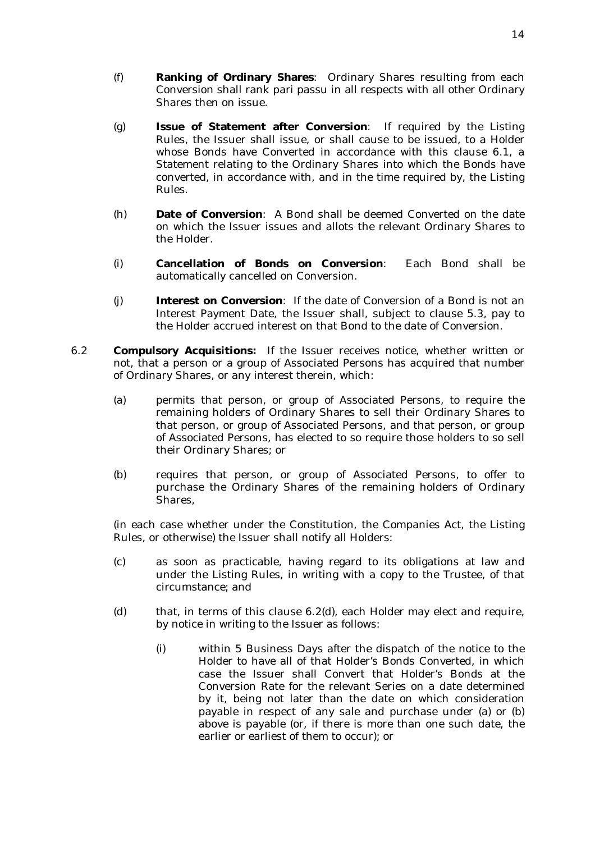- (f) **Ranking of Ordinary Shares**: Ordinary Shares resulting from each Conversion shall rank pari passu in all respects with all other Ordinary Shares then on issue.
- (g) **Issue of Statement after Conversion**: If required by the Listing Rules, the Issuer shall issue, or shall cause to be issued, to a Holder whose Bonds have Converted in accordance with this clause 6.1, a Statement relating to the Ordinary Shares into which the Bonds have converted, in accordance with, and in the time required by, the Listing Rules.
- (h) **Date of Conversion**: A Bond shall be deemed Converted on the date on which the Issuer issues and allots the relevant Ordinary Shares to the Holder.
- (i) **Cancellation of Bonds on Conversion**: Each Bond shall be automatically cancelled on Conversion.
- (j) **Interest on Conversion**: If the date of Conversion of a Bond is not an Interest Payment Date, the Issuer shall, subject to clause 5.3, pay to the Holder accrued interest on that Bond to the date of Conversion.
- 6.2 **Compulsory Acquisitions:** If the Issuer receives notice, whether written or not, that a person or a group of Associated Persons has acquired that number of Ordinary Shares, or any interest therein, which:
	- (a) permits that person, or group of Associated Persons, to require the remaining holders of Ordinary Shares to sell their Ordinary Shares to that person, or group of Associated Persons, and that person, or group of Associated Persons, has elected to so require those holders to so sell their Ordinary Shares; or
	- (b) requires that person, or group of Associated Persons, to offer to purchase the Ordinary Shares of the remaining holders of Ordinary Shares,

(in each case whether under the Constitution, the Companies Act, the Listing Rules, or otherwise) the Issuer shall notify all Holders:

- (c) as soon as practicable, having regard to its obligations at law and under the Listing Rules, in writing with a copy to the Trustee, of that circumstance; and
- (d) that, in terms of this clause 6.2(d), each Holder may elect and require, by notice in writing to the Issuer as follows:
	- (i) within 5 Business Days after the dispatch of the notice to the Holder to have all of that Holder's Bonds Converted, in which case the Issuer shall Convert that Holder's Bonds at the Conversion Rate for the relevant Series on a date determined by it, being not later than the date on which consideration payable in respect of any sale and purchase under (a) or (b) above is payable (or, if there is more than one such date, the earlier or earliest of them to occur); or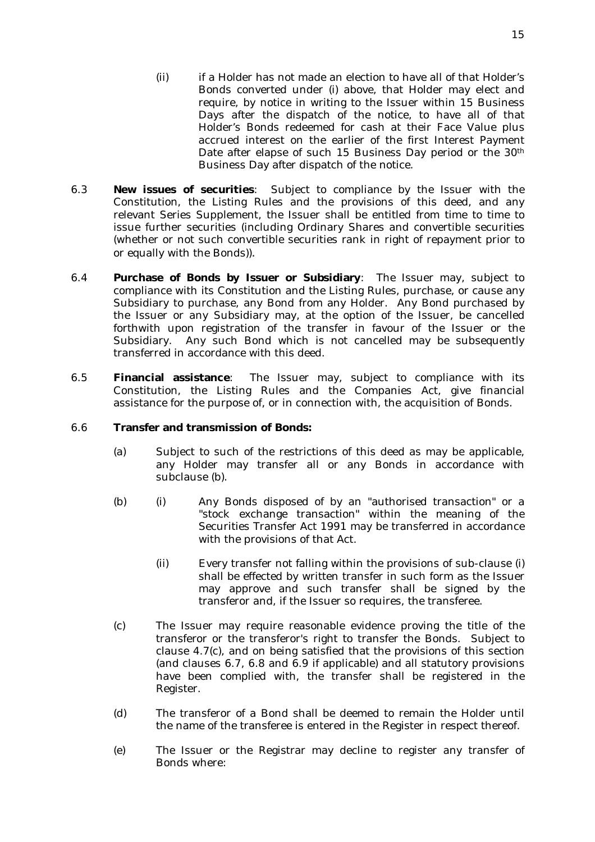- (ii) if a Holder has not made an election to have all of that Holder's Bonds converted under (i) above, that Holder may elect and require, by notice in writing to the Issuer within 15 Business Days after the dispatch of the notice, to have all of that Holder's Bonds redeemed for cash at their Face Value plus accrued interest on the earlier of the first Interest Payment Date after elapse of such 15 Business Day period or the 30<sup>th</sup> Business Day after dispatch of the notice.
- 6.3 **New issues of securities**: Subject to compliance by the Issuer with the Constitution, the Listing Rules and the provisions of this deed, and any relevant Series Supplement, the Issuer shall be entitled from time to time to issue further securities (including Ordinary Shares and convertible securities (whether or not such convertible securities rank in right of repayment prior to or equally with the Bonds)).
- 6.4 **Purchase of Bonds by Issuer or Subsidiary**: The Issuer may, subject to compliance with its Constitution and the Listing Rules, purchase, or cause any Subsidiary to purchase, any Bond from any Holder. Any Bond purchased by the Issuer or any Subsidiary may, at the option of the Issuer, be cancelled forthwith upon registration of the transfer in favour of the Issuer or the Subsidiary.Any such Bond which is not cancelled may be subsequently transferred in accordance with this deed.
- 6.5 **Financial assistance**: The Issuer may, subject to compliance with its Constitution, the Listing Rules and the Companies Act, give financial assistance for the purpose of, or in connection with, the acquisition of Bonds.

#### 6.6 **Transfer and transmission of Bonds:**

- (a) Subject to such of the restrictions of this deed as may be applicable, any Holder may transfer all or any Bonds in accordance with subclause (b).
- (b) (i) Any Bonds disposed of by an "authorised transaction" or a "stock exchange transaction" within the meaning of the Securities Transfer Act 1991 may be transferred in accordance with the provisions of that Act.
	- (ii) Every transfer not falling within the provisions of sub-clause (i) shall be effected by written transfer in such form as the Issuer may approve and such transfer shall be signed by the transferor and, if the Issuer so requires, the transferee.
- (c) The Issuer may require reasonable evidence proving the title of the transferor or the transferor's right to transfer the Bonds. Subject to clause 4.7(c), and on being satisfied that the provisions of this section (and clauses 6.7, 6.8 and 6.9 if applicable) and all statutory provisions have been complied with, the transfer shall be registered in the Register.
- (d) The transferor of a Bond shall be deemed to remain the Holder until the name of the transferee is entered in the Register in respect thereof.
- (e) The Issuer or the Registrar may decline to register any transfer of Bonds where: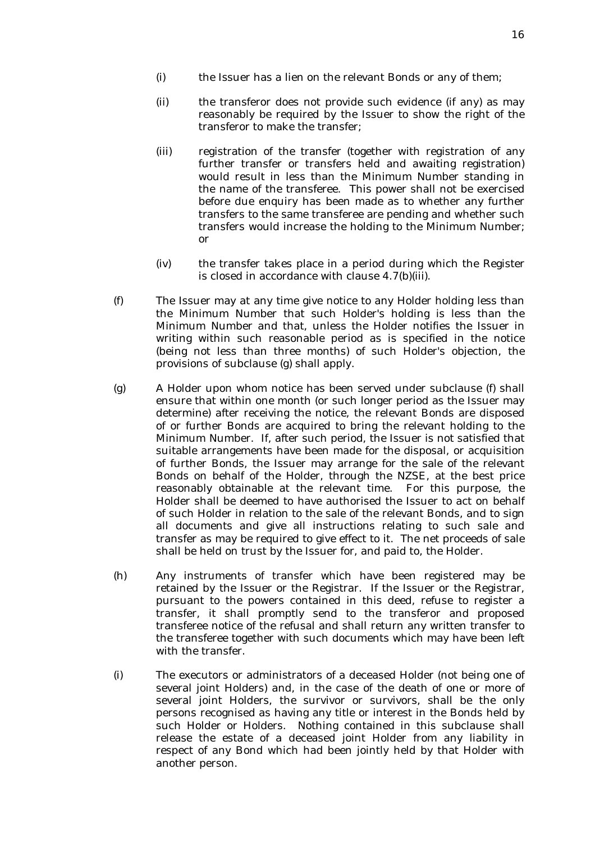- (i) the Issuer has a lien on the relevant Bonds or any of them;
- (ii) the transferor does not provide such evidence (if any) as may reasonably be required by the Issuer to show the right of the transferor to make the transfer;
- (iii) registration of the transfer (together with registration of any further transfer or transfers held and awaiting registration) would result in less than the Minimum Number standing in the name of the transferee. This power shall not be exercised before due enquiry has been made as to whether any further transfers to the same transferee are pending and whether such transfers would increase the holding to the Minimum Number; or
- (iv) the transfer takes place in a period during which the Register is closed in accordance with clause 4.7(b)(iii).
- (f) The Issuer may at any time give notice to any Holder holding less than the Minimum Number that such Holder's holding is less than the Minimum Number and that, unless the Holder notifies the Issuer in writing within such reasonable period as is specified in the notice (being not less than three months) of such Holder's objection, the provisions of subclause (g) shall apply.
- (g) A Holder upon whom notice has been served under subclause (f) shall ensure that within one month (or such longer period as the Issuer may determine) after receiving the notice, the relevant Bonds are disposed of or further Bonds are acquired to bring the relevant holding to the Minimum Number. If, after such period, the Issuer is not satisfied that suitable arrangements have been made for the disposal, or acquisition of further Bonds, the Issuer may arrange for the sale of the relevant Bonds on behalf of the Holder, through the NZSE, at the best price reasonably obtainable at the relevant time. For this purpose, the Holder shall be deemed to have authorised the Issuer to act on behalf of such Holder in relation to the sale of the relevant Bonds, and to sign all documents and give all instructions relating to such sale and transfer as may be required to give effect to it. The net proceeds of sale shall be held on trust by the Issuer for, and paid to, the Holder.
- (h) Any instruments of transfer which have been registered may be retained by the Issuer or the Registrar. If the Issuer or the Registrar, pursuant to the powers contained in this deed, refuse to register a transfer, it shall promptly send to the transferor and proposed transferee notice of the refusal and shall return any written transfer to the transferee together with such documents which may have been left with the transfer.
- (i) The executors or administrators of a deceased Holder (not being one of several joint Holders) and, in the case of the death of one or more of several joint Holders, the survivor or survivors, shall be the only persons recognised as having any title or interest in the Bonds held by such Holder or Holders. Nothing contained in this subclause shall release the estate of a deceased joint Holder from any liability in respect of any Bond which had been jointly held by that Holder with another person.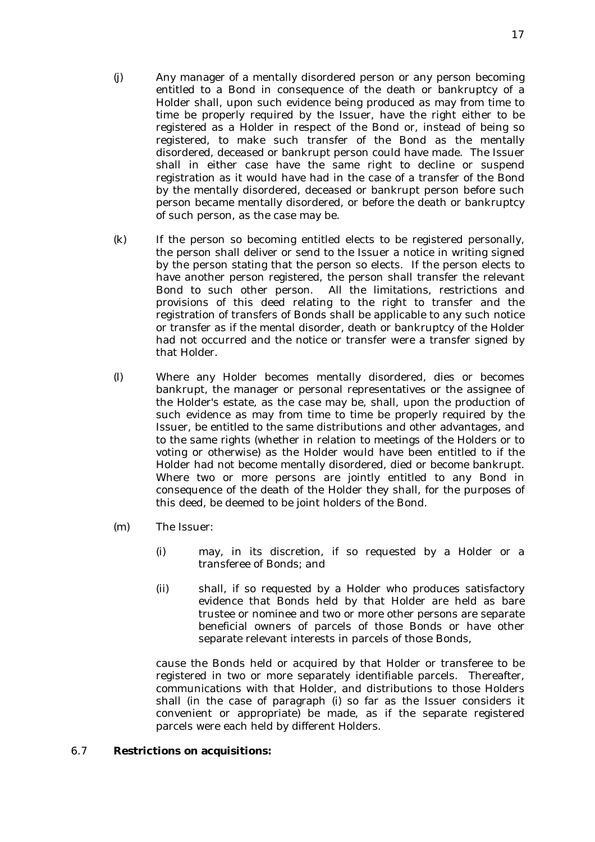- (j) Any manager of a mentally disordered person or any person becoming entitled to a Bond in consequence of the death or bankruptcy of a Holder shall, upon such evidence being produced as may from time to time be properly required by the Issuer, have the right either to be registered as a Holder in respect of the Bond or, instead of being so registered, to make such transfer of the Bond as the mentally disordered, deceased or bankrupt person could have made. The Issuer shall in either case have the same right to decline or suspend registration as it would have had in the case of a transfer of the Bond by the mentally disordered, deceased or bankrupt person before such person became mentally disordered, or before the death or bankruptcy of such person, as the case may be.
- (k) If the person so becoming entitled elects to be registered personally, the person shall deliver or send to the Issuer a notice in writing signed by the person stating that the person so elects. If the person elects to have another person registered, the person shall transfer the relevant Bond to such other person. All the limitations, restrictions and provisions of this deed relating to the right to transfer and the registration of transfers of Bonds shall be applicable to any such notice or transfer as if the mental disorder, death or bankruptcy of the Holder had not occurred and the notice or transfer were a transfer signed by that Holder.
- (l) Where any Holder becomes mentally disordered, dies or becomes bankrupt, the manager or personal representatives or the assignee of the Holder's estate, as the case may be, shall, upon the production of such evidence as may from time to time be properly required by the Issuer, be entitled to the same distributions and other advantages, and to the same rights (whether in relation to meetings of the Holders or to voting or otherwise) as the Holder would have been entitled to if the Holder had not become mentally disordered, died or become bankrupt. Where two or more persons are jointly entitled to any Bond in consequence of the death of the Holder they shall, for the purposes of this deed, be deemed to be joint holders of the Bond.
- (m) The Issuer:
	- (i) may, in its discretion, if so requested by a Holder or a transferee of Bonds; and
	- (ii) shall, if so requested by a Holder who produces satisfactory evidence that Bonds held by that Holder are held as bare trustee or nominee and two or more other persons are separate beneficial owners of parcels of those Bonds or have other separate relevant interests in parcels of those Bonds,

cause the Bonds held or acquired by that Holder or transferee to be registered in two or more separately identifiable parcels. Thereafter, communications with that Holder, and distributions to those Holders shall (in the case of paragraph (i) so far as the Issuer considers it convenient or appropriate) be made, as if the separate registered parcels were each held by different Holders.

## 6.7 **Restrictions on acquisitions:**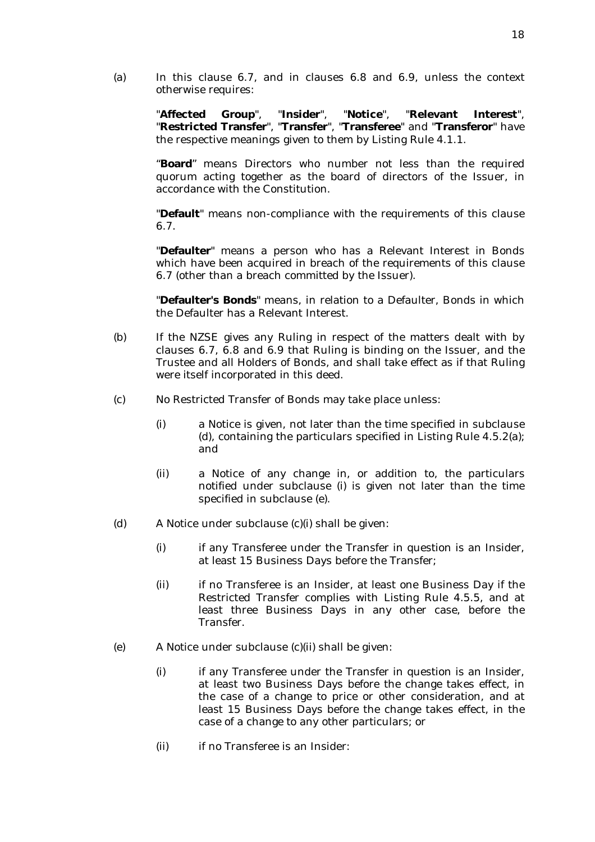(a) In this clause 6.7, and in clauses 6.8 and 6.9, unless the context otherwise requires:

> "**Affected Group**", "**Insider**", "**Notice**", "**Relevant Interest**", "**Restricted Transfer**", "**Transfer**", "**Transferee**" and "**Transferor**" have the respective meanings given to them by Listing Rule 4.1.1.

> "**Board**" means Directors who number not less than the required quorum acting together as the board of directors of the Issuer, in accordance with the Constitution.

> "**Default**" means non-compliance with the requirements of this clause 6.7.

> "**Defaulter**" means a person who has a Relevant Interest in Bonds which have been acquired in breach of the requirements of this clause 6.7 (other than a breach committed by the Issuer).

> "**Defaulter's Bonds**" means, in relation to a Defaulter, Bonds in which the Defaulter has a Relevant Interest.

- (b) If the NZSE gives any Ruling in respect of the matters dealt with by clauses 6.7, 6.8 and 6.9 that Ruling is binding on the Issuer, and the Trustee and all Holders of Bonds, and shall take effect as if that Ruling were itself incorporated in this deed.
- (c) No Restricted Transfer of Bonds may take place unless:
	- (i) a Notice is given, not later than the time specified in subclause (d), containing the particulars specified in Listing Rule 4.5.2(a); and
	- (ii) a Notice of any change in, or addition to, the particulars notified under subclause (i) is given not later than the time specified in subclause (e).
- (d) A Notice under subclause (c)(i) shall be given:
	- (i) if any Transferee under the Transfer in question is an Insider, at least 15 Business Days before the Transfer;
	- (ii) if no Transferee is an Insider, at least one Business Day if the Restricted Transfer complies with Listing Rule 4.5.5, and at least three Business Days in any other case, before the Transfer.
- (e) A Notice under subclause (c)(ii) shall be given:
	- (i) if any Transferee under the Transfer in question is an Insider, at least two Business Days before the change takes effect, in the case of a change to price or other consideration, and at least 15 Business Days before the change takes effect, in the case of a change to any other particulars; or
	- (ii) if no Transferee is an Insider: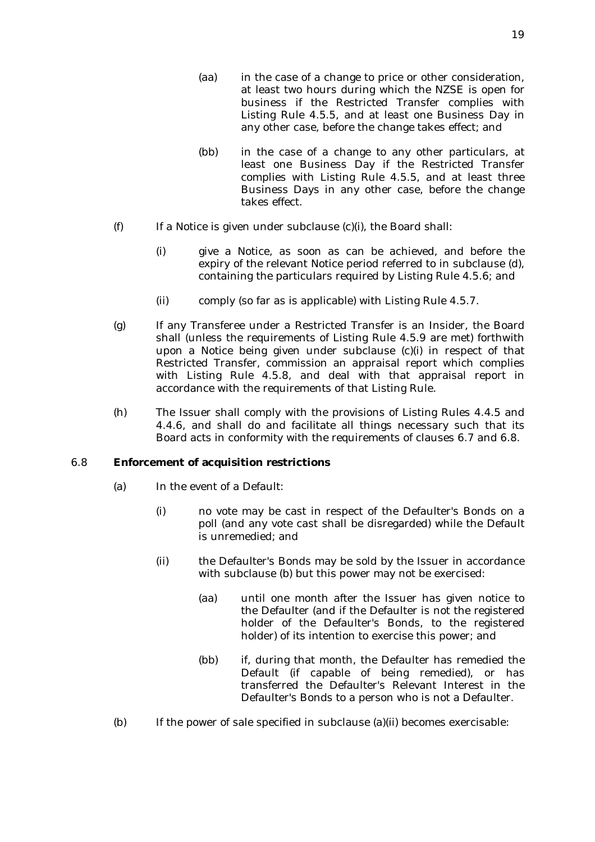- (aa) in the case of a change to price or other consideration, at least two hours during which the NZSE is open for business if the Restricted Transfer complies with Listing Rule 4.5.5, and at least one Business Day in any other case, before the change takes effect; and
- (bb) in the case of a change to any other particulars, at least one Business Day if the Restricted Transfer complies with Listing Rule 4.5.5, and at least three Business Days in any other case, before the change takes effect.
- (f) If a Notice is given under subclause (c)(i), the Board shall:
	- (i) give a Notice, as soon as can be achieved, and before the expiry of the relevant Notice period referred to in subclause (d), containing the particulars required by Listing Rule 4.5.6; and
	- (ii) comply (so far as is applicable) with Listing Rule 4.5.7.
- (g) If any Transferee under a Restricted Transfer is an Insider, the Board shall (unless the requirements of Listing Rule 4.5.9 are met) forthwith upon a Notice being given under subclause (c)(i) in respect of that Restricted Transfer, commission an appraisal report which complies with Listing Rule 4.5.8, and deal with that appraisal report in accordance with the requirements of that Listing Rule.
- (h) The Issuer shall comply with the provisions of Listing Rules 4.4.5 and 4.4.6, and shall do and facilitate all things necessary such that its Board acts in conformity with the requirements of clauses 6.7 and 6.8.

#### 6.8 **Enforcement of acquisition restrictions**

- (a) In the event of a Default:
	- (i) no vote may be cast in respect of the Defaulter's Bonds on a poll (and any vote cast shall be disregarded) while the Default is unremedied; and
	- (ii) the Defaulter's Bonds may be sold by the Issuer in accordance with subclause (b) but this power may not be exercised:
		- (aa) until one month after the Issuer has given notice to the Defaulter (and if the Defaulter is not the registered holder of the Defaulter's Bonds, to the registered holder) of its intention to exercise this power; and
		- (bb) if, during that month, the Defaulter has remedied the Default (if capable of being remedied), or has transferred the Defaulter's Relevant Interest in the Defaulter's Bonds to a person who is not a Defaulter.
- (b) If the power of sale specified in subclause (a)(ii) becomes exercisable: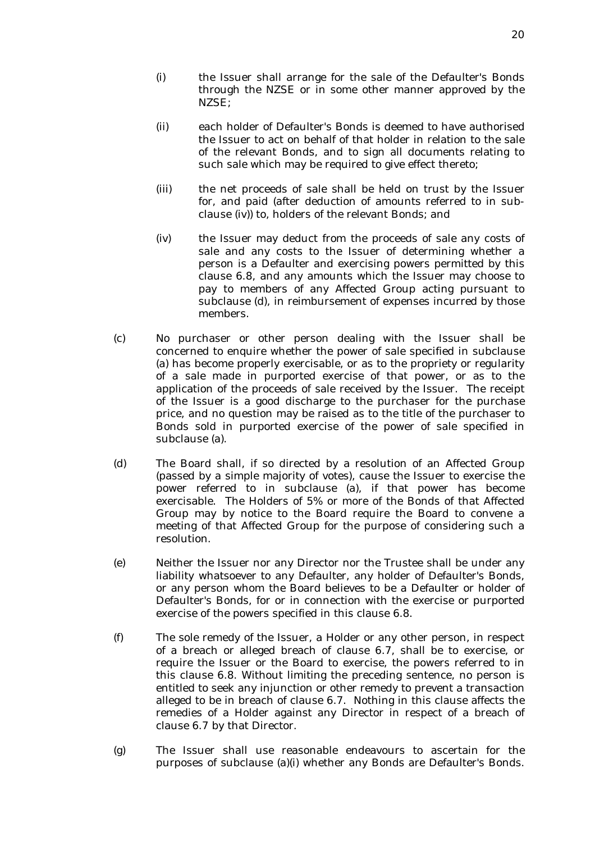- (i) the Issuer shall arrange for the sale of the Defaulter's Bonds through the NZSE or in some other manner approved by the NZSE;
- (ii) each holder of Defaulter's Bonds is deemed to have authorised the Issuer to act on behalf of that holder in relation to the sale of the relevant Bonds, and to sign all documents relating to such sale which may be required to give effect thereto;
- (iii) the net proceeds of sale shall be held on trust by the Issuer for, and paid (after deduction of amounts referred to in subclause (iv)) to, holders of the relevant Bonds; and
- (iv) the Issuer may deduct from the proceeds of sale any costs of sale and any costs to the Issuer of determining whether a person is a Defaulter and exercising powers permitted by this clause 6.8, and any amounts which the Issuer may choose to pay to members of any Affected Group acting pursuant to subclause (d), in reimbursement of expenses incurred by those members.
- (c) No purchaser or other person dealing with the Issuer shall be concerned to enquire whether the power of sale specified in subclause (a) has become properly exercisable, or as to the propriety or regularity of a sale made in purported exercise of that power, or as to the application of the proceeds of sale received by the Issuer. The receipt of the Issuer is a good discharge to the purchaser for the purchase price, and no question may be raised as to the title of the purchaser to Bonds sold in purported exercise of the power of sale specified in subclause (a).
- (d) The Board shall, if so directed by a resolution of an Affected Group (passed by a simple majority of votes), cause the Issuer to exercise the power referred to in subclause (a), if that power has become exercisable. The Holders of 5% or more of the Bonds of that Affected Group may by notice to the Board require the Board to convene a meeting of that Affected Group for the purpose of considering such a resolution.
- (e) Neither the Issuer nor any Director nor the Trustee shall be under any liability whatsoever to any Defaulter, any holder of Defaulter's Bonds, or any person whom the Board believes to be a Defaulter or holder of Defaulter's Bonds, for or in connection with the exercise or purported exercise of the powers specified in this clause 6.8.
- (f) The sole remedy of the Issuer, a Holder or any other person, in respect of a breach or alleged breach of clause 6.7, shall be to exercise, or require the Issuer or the Board to exercise, the powers referred to in this clause 6.8. Without limiting the preceding sentence, no person is entitled to seek any injunction or other remedy to prevent a transaction alleged to be in breach of clause 6.7. Nothing in this clause affects the remedies of a Holder against any Director in respect of a breach of clause 6.7 by that Director.
- (g) The Issuer shall use reasonable endeavours to ascertain for the purposes of subclause (a)(i) whether any Bonds are Defaulter's Bonds.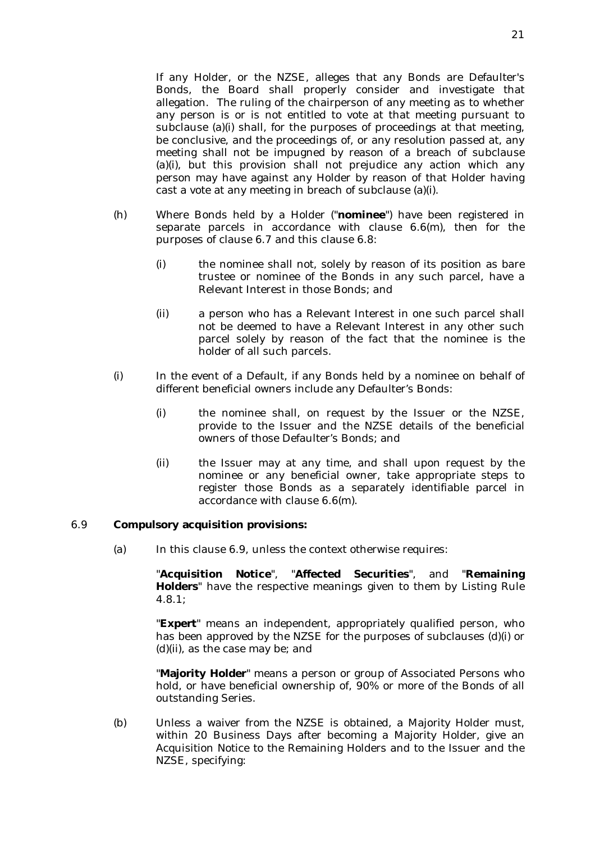If any Holder, or the NZSE, alleges that any Bonds are Defaulter's Bonds, the Board shall properly consider and investigate that allegation. The ruling of the chairperson of any meeting as to whether any person is or is not entitled to vote at that meeting pursuant to subclause (a)(i) shall, for the purposes of proceedings at that meeting, be conclusive, and the proceedings of, or any resolution passed at, any meeting shall not be impugned by reason of a breach of subclause (a)(i), but this provision shall not prejudice any action which any person may have against any Holder by reason of that Holder having cast a vote at any meeting in breach of subclause (a)(i).

- (h) Where Bonds held by a Holder ("**nominee**") have been registered in separate parcels in accordance with clause 6.6(m), then for the purposes of clause 6.7 and this clause 6.8:
	- (i) the nominee shall not, solely by reason of its position as bare trustee or nominee of the Bonds in any such parcel, have a Relevant Interest in those Bonds; and
	- (ii) a person who has a Relevant Interest in one such parcel shall not be deemed to have a Relevant Interest in any other such parcel solely by reason of the fact that the nominee is the holder of all such parcels.
- (i) In the event of a Default, if any Bonds held by a nominee on behalf of different beneficial owners include any Defaulter's Bonds:
	- (i) the nominee shall, on request by the Issuer or the NZSE, provide to the Issuer and the NZSE details of the beneficial owners of those Defaulter's Bonds; and
	- (ii) the Issuer may at any time, and shall upon request by the nominee or any beneficial owner, take appropriate steps to register those Bonds as a separately identifiable parcel in accordance with clause 6.6(m).

#### 6.9 **Compulsory acquisition provisions:**

(a) In this clause 6.9, unless the context otherwise requires:

"**Acquisition Notice**", "**Affected Securities**", and "**Remaining Holders**" have the respective meanings given to them by Listing Rule 4.8.1;

"**Expert**" means an independent, appropriately qualified person, who has been approved by the NZSE for the purposes of subclauses (d)(i) or (d)(ii), as the case may be; and

"**Majority Holder**" means a person or group of Associated Persons who hold, or have beneficial ownership of, 90% or more of the Bonds of all outstanding Series.

(b) Unless a waiver from the NZSE is obtained, a Majority Holder must, within 20 Business Days after becoming a Majority Holder, give an Acquisition Notice to the Remaining Holders and to the Issuer and the NZSE, specifying: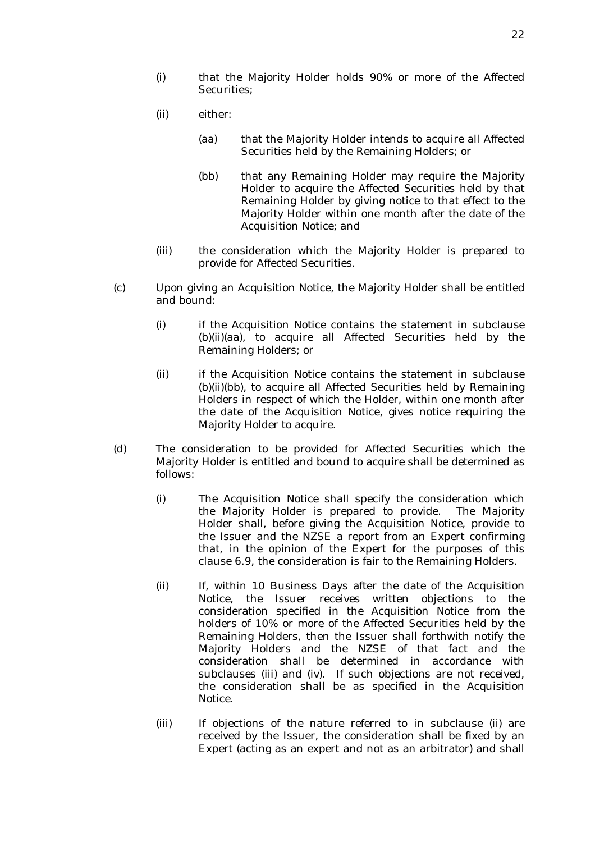- (i) that the Majority Holder holds 90% or more of the Affected Securities;
- (ii) either:
	- (aa) that the Majority Holder intends to acquire all Affected Securities held by the Remaining Holders; or
	- (bb) that any Remaining Holder may require the Majority Holder to acquire the Affected Securities held by that Remaining Holder by giving notice to that effect to the Majority Holder within one month after the date of the Acquisition Notice; and
- (iii) the consideration which the Majority Holder is prepared to provide for Affected Securities.
- (c) Upon giving an Acquisition Notice, the Majority Holder shall be entitled and bound:
	- (i) if the Acquisition Notice contains the statement in subclause (b)(ii)(aa), to acquire all Affected Securities held by the Remaining Holders; or
	- (ii) if the Acquisition Notice contains the statement in subclause (b)(ii)(bb), to acquire all Affected Securities held by Remaining Holders in respect of which the Holder, within one month after the date of the Acquisition Notice, gives notice requiring the Majority Holder to acquire.
- (d) The consideration to be provided for Affected Securities which the Majority Holder is entitled and bound to acquire shall be determined as follows:
	- (i) The Acquisition Notice shall specify the consideration which the Majority Holder is prepared to provide. The Majority Holder shall, before giving the Acquisition Notice, provide to the Issuer and the NZSE a report from an Expert confirming that, in the opinion of the Expert for the purposes of this clause 6.9, the consideration is fair to the Remaining Holders.
	- (ii) If, within 10 Business Days after the date of the Acquisition Notice, the Issuer receives written objections to the consideration specified in the Acquisition Notice from the holders of 10% or more of the Affected Securities held by the Remaining Holders, then the Issuer shall forthwith notify the Majority Holders and the NZSE of that fact and the consideration shall be determined in accordance with subclauses (iii) and (iv). If such objections are not received, the consideration shall be as specified in the Acquisition Notice.
	- (iii) If objections of the nature referred to in subclause (ii) are received by the Issuer, the consideration shall be fixed by an Expert (acting as an expert and not as an arbitrator) and shall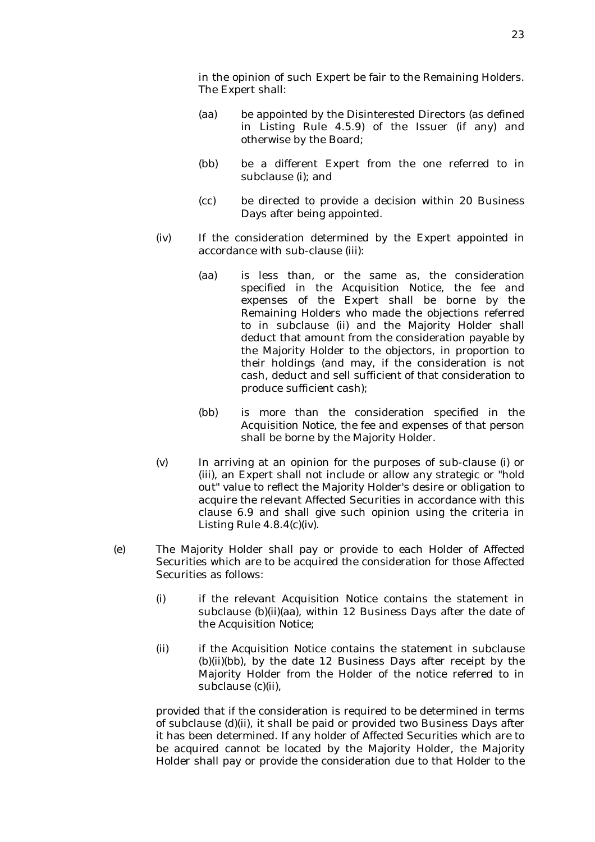in the opinion of such Expert be fair to the Remaining Holders. The Expert shall:

- (aa) be appointed by the Disinterested Directors (as defined in Listing Rule 4.5.9) of the Issuer (if any) and otherwise by the Board;
- (bb) be a different Expert from the one referred to in subclause (i); and
- (cc) be directed to provide a decision within 20 Business Days after being appointed.
- (iv) If the consideration determined by the Expert appointed in accordance with sub-clause (iii):
	- (aa) is less than, or the same as, the consideration specified in the Acquisition Notice, the fee and expenses of the Expert shall be borne by the Remaining Holders who made the objections referred to in subclause (ii) and the Majority Holder shall deduct that amount from the consideration payable by the Majority Holder to the objectors, in proportion to their holdings (and may, if the consideration is not cash, deduct and sell sufficient of that consideration to produce sufficient cash);
	- (bb) is more than the consideration specified in the Acquisition Notice, the fee and expenses of that person shall be borne by the Majority Holder.
- (v) In arriving at an opinion for the purposes of sub-clause (i) or (iii), an Expert shall not include or allow any strategic or "hold out" value to reflect the Majority Holder's desire or obligation to acquire the relevant Affected Securities in accordance with this clause 6.9 and shall give such opinion using the criteria in Listing Rule 4.8.4(c)(iv).
- (e) The Majority Holder shall pay or provide to each Holder of Affected Securities which are to be acquired the consideration for those Affected Securities as follows:
	- (i) if the relevant Acquisition Notice contains the statement in subclause (b)(ii)(aa), within 12 Business Days after the date of the Acquisition Notice;
	- (ii) if the Acquisition Notice contains the statement in subclause (b)(ii)(bb), by the date 12 Business Days after receipt by the Majority Holder from the Holder of the notice referred to in subclause (c)(ii),

provided that if the consideration is required to be determined in terms of subclause (d)(ii), it shall be paid or provided two Business Days after it has been determined. If any holder of Affected Securities which are to be acquired cannot be located by the Majority Holder, the Majority Holder shall pay or provide the consideration due to that Holder to the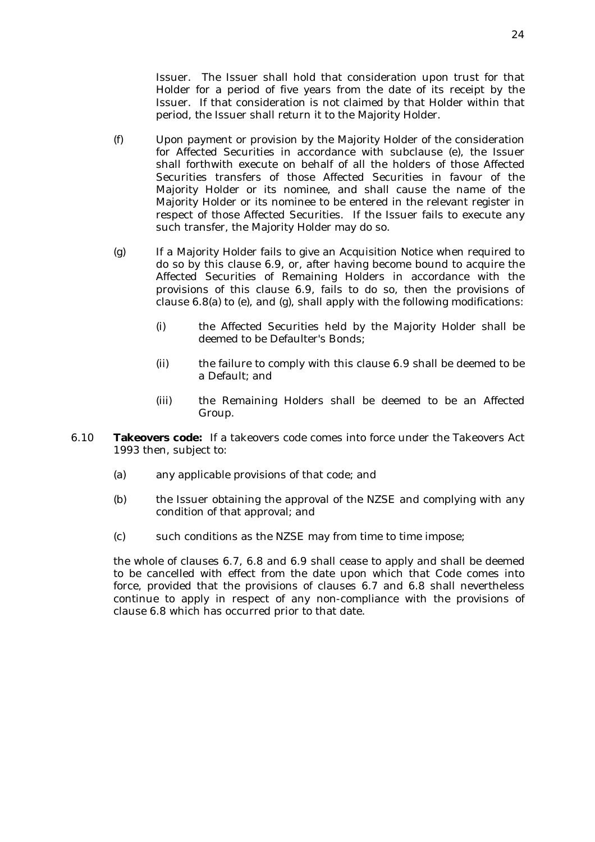Issuer. The Issuer shall hold that consideration upon trust for that Holder for a period of five years from the date of its receipt by the Issuer. If that consideration is not claimed by that Holder within that period, the Issuer shall return it to the Majority Holder.

- (f) Upon payment or provision by the Majority Holder of the consideration for Affected Securities in accordance with subclause (e), the Issuer shall forthwith execute on behalf of all the holders of those Affected Securities transfers of those Affected Securities in favour of the Majority Holder or its nominee, and shall cause the name of the Majority Holder or its nominee to be entered in the relevant register in respect of those Affected Securities. If the Issuer fails to execute any such transfer, the Majority Holder may do so.
- (g) If a Majority Holder fails to give an Acquisition Notice when required to do so by this clause 6.9, or, after having become bound to acquire the Affected Securities of Remaining Holders in accordance with the provisions of this clause 6.9, fails to do so, then the provisions of clause 6.8(a) to (e), and (g), shall apply with the following modifications:
	- (i) the Affected Securities held by the Majority Holder shall be deemed to be Defaulter's Bonds;
	- (ii) the failure to comply with this clause 6.9 shall be deemed to be a Default; and
	- (iii) the Remaining Holders shall be deemed to be an Affected Group.
- 6.10 **Takeovers code:** If a takeovers code comes into force under the Takeovers Act 1993 then, subject to:
	- (a) any applicable provisions of that code; and
	- (b) the Issuer obtaining the approval of the NZSE and complying with any condition of that approval; and
	- (c) such conditions as the NZSE may from time to time impose;

the whole of clauses 6.7, 6.8 and 6.9 shall cease to apply and shall be deemed to be cancelled with effect from the date upon which that Code comes into force, provided that the provisions of clauses 6.7 and 6.8 shall nevertheless continue to apply in respect of any non-compliance with the provisions of clause 6.8 which has occurred prior to that date.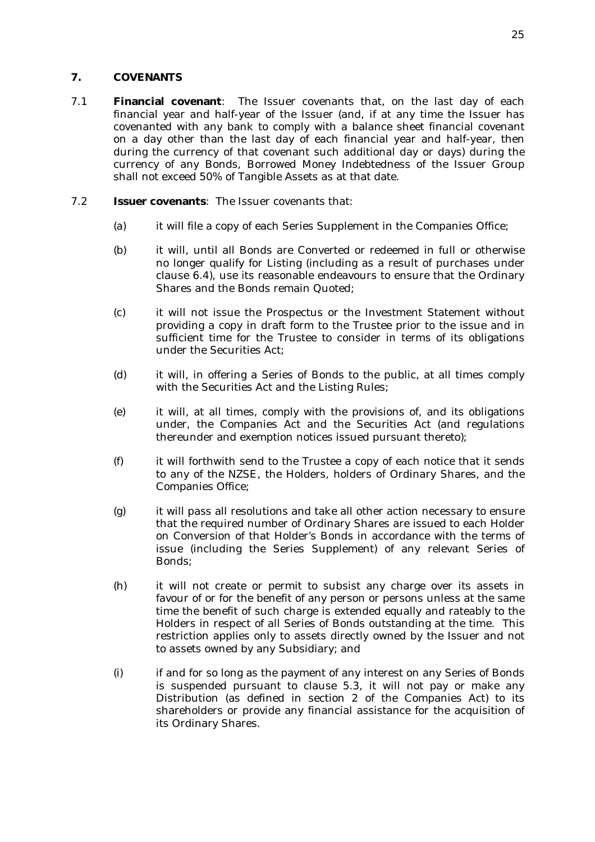## **7. COVENANTS**

7.1 **Financial covenant**: The Issuer covenants that, on the last day of each financial year and half-year of the Issuer (and, if at any time the Issuer has covenanted with any bank to comply with a balance sheet financial covenant on a day other than the last day of each financial year and half-year, then during the currency of that covenant such additional day or days) during the currency of any Bonds, Borrowed Money Indebtedness of the Issuer Group shall not exceed 50% of Tangible Assets as at that date.

### 7.2 **Issuer covenants**: The Issuer covenants that:

- (a) it will file a copy of each Series Supplement in the Companies Office;
- (b) it will, until all Bonds are Converted or redeemed in full or otherwise no longer qualify for Listing (including as a result of purchases under clause 6.4), use its reasonable endeavours to ensure that the Ordinary Shares and the Bonds remain Quoted;
- (c) it will not issue the Prospectus or the Investment Statement without providing a copy in draft form to the Trustee prior to the issue and in sufficient time for the Trustee to consider in terms of its obligations under the Securities Act;
- (d) it will, in offering a Series of Bonds to the public, at all times comply with the Securities Act and the Listing Rules;
- (e) it will, at all times, comply with the provisions of, and its obligations under, the Companies Act and the Securities Act (and regulations thereunder and exemption notices issued pursuant thereto);
- (f) it will forthwith send to the Trustee a copy of each notice that it sends to any of the NZSE, the Holders, holders of Ordinary Shares, and the Companies Office;
- (g) it will pass all resolutions and take all other action necessary to ensure that the required number of Ordinary Shares are issued to each Holder on Conversion of that Holder's Bonds in accordance with the terms of issue (including the Series Supplement) of any relevant Series of Bonds;
- (h) it will not create or permit to subsist any charge over its assets in favour of or for the benefit of any person or persons unless at the same time the benefit of such charge is extended equally and rateably to the Holders in respect of all Series of Bonds outstanding at the time. This restriction applies only to assets directly owned by the Issuer and not to assets owned by any Subsidiary; and
- (i) if and for so long as the payment of any interest on any Series of Bonds is suspended pursuant to clause 5.3, it will not pay or make any Distribution (as defined in section 2 of the Companies Act) to its shareholders or provide any financial assistance for the acquisition of its Ordinary Shares.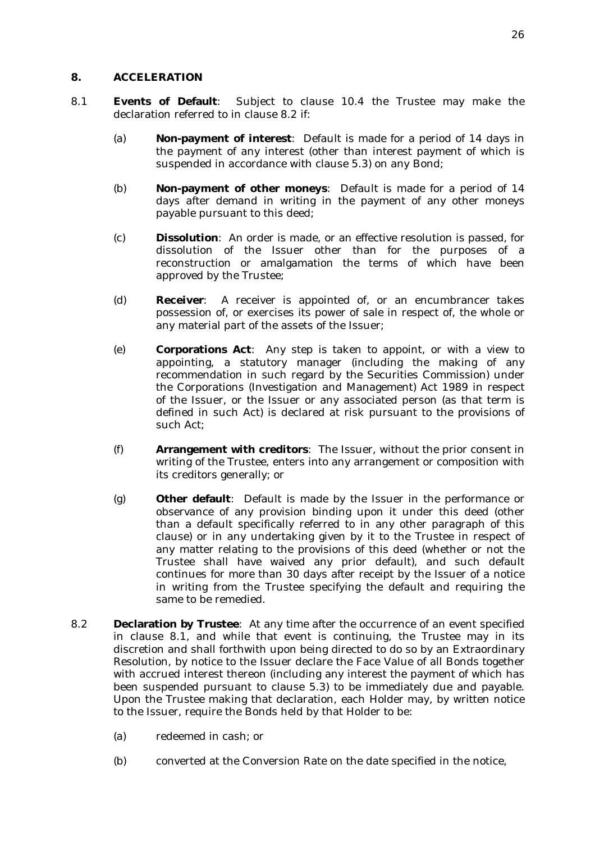## **8. ACCELERATION**

- 8.1 **Events of Default**: Subject to clause 10.4 the Trustee may make the declaration referred to in clause 8.2 if:
	- (a) **Non-payment of interest**: Default is made for a period of 14 days in the payment of any interest (other than interest payment of which is suspended in accordance with clause 5.3) on any Bond;
	- (b) **Non-payment of other moneys**: Default is made for a period of 14 days after demand in writing in the payment of any other moneys payable pursuant to this deed;
	- (c) **Dissolution**: An order is made, or an effective resolution is passed, for dissolution of the Issuer other than for the purposes of a reconstruction or amalgamation the terms of which have been approved by the Trustee;
	- (d) **Receiver**: A receiver is appointed of, or an encumbrancer takes possession of, or exercises its power of sale in respect of, the whole or any material part of the assets of the Issuer;
	- (e) **Corporations Act**: Any step is taken to appoint, or with a view to appointing, a statutory manager (including the making of any recommendation in such regard by the Securities Commission) under the Corporations (Investigation and Management) Act 1989 in respect of the Issuer, or the Issuer or any associated person (as that term is defined in such Act) is declared at risk pursuant to the provisions of such Act;
	- (f) **Arrangement with creditors**: The Issuer, without the prior consent in writing of the Trustee, enters into any arrangement or composition with its creditors generally; or
	- (g) **Other default**: Default is made by the Issuer in the performance or observance of any provision binding upon it under this deed (other than a default specifically referred to in any other paragraph of this clause) or in any undertaking given by it to the Trustee in respect of any matter relating to the provisions of this deed (whether or not the Trustee shall have waived any prior default), and such default continues for more than 30 days after receipt by the Issuer of a notice in writing from the Trustee specifying the default and requiring the same to be remedied.
- 8.2 **Declaration by Trustee**: At any time after the occurrence of an event specified in clause 8.1, and while that event is continuing, the Trustee may in its discretion and shall forthwith upon being directed to do so by an Extraordinary Resolution, by notice to the Issuer declare the Face Value of all Bonds together with accrued interest thereon (including any interest the payment of which has been suspended pursuant to clause 5.3) to be immediately due and payable. Upon the Trustee making that declaration, each Holder may, by written notice to the Issuer, require the Bonds held by that Holder to be:
	- (a) redeemed in cash; or
	- (b) converted at the Conversion Rate on the date specified in the notice,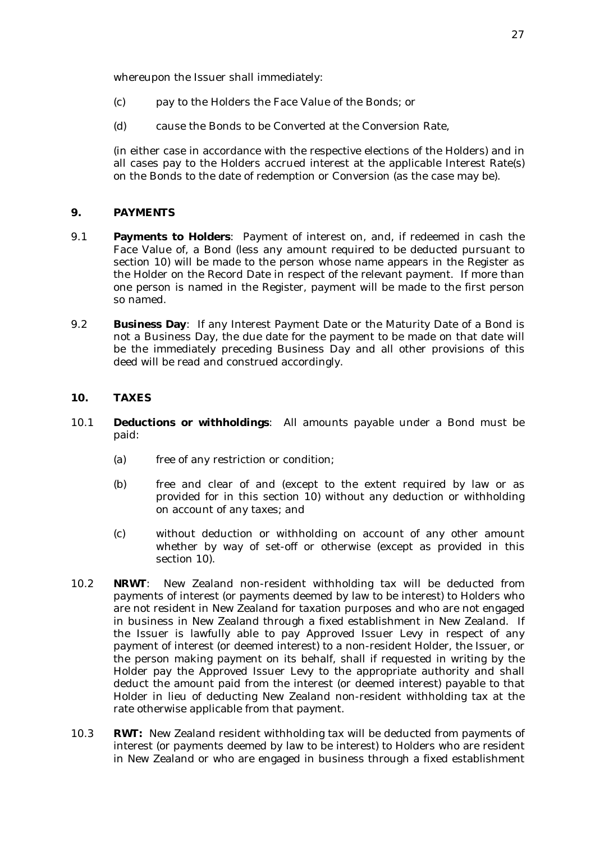whereupon the Issuer shall immediately:

- (c) pay to the Holders the Face Value of the Bonds; or
- (d) cause the Bonds to be Converted at the Conversion Rate,

(in either case in accordance with the respective elections of the Holders) and in all cases pay to the Holders accrued interest at the applicable Interest Rate(s) on the Bonds to the date of redemption or Conversion (as the case may be).

#### **9. PAYMENTS**

- 9.1 **Payments to Holders**: Payment of interest on, and, if redeemed in cash the Face Value of, a Bond (less any amount required to be deducted pursuant to section 10) will be made to the person whose name appears in the Register as the Holder on the Record Date in respect of the relevant payment. If more than one person is named in the Register, payment will be made to the first person so named.
- 9.2 **Business Day**: If any Interest Payment Date or the Maturity Date of a Bond is not a Business Day, the due date for the payment to be made on that date will be the immediately preceding Business Day and all other provisions of this deed will be read and construed accordingly.

## **10. TAXES**

- 10.1 **Deductions or withholdings**: All amounts payable under a Bond must be paid:
	- (a) free of any restriction or condition;
	- (b) free and clear of and (except to the extent required by law or as provided for in this section 10) without any deduction or withholding on account of any taxes; and
	- (c) without deduction or withholding on account of any other amount whether by way of set-off or otherwise (except as provided in this section 10).
- 10.2 **NRWT**: New Zealand non-resident withholding tax will be deducted from payments of interest (or payments deemed by law to be interest) to Holders who are not resident in New Zealand for taxation purposes and who are not engaged in business in New Zealand through a fixed establishment in New Zealand. If the Issuer is lawfully able to pay Approved Issuer Levy in respect of any payment of interest (or deemed interest) to a non-resident Holder, the Issuer, or the person making payment on its behalf, shall if requested in writing by the Holder pay the Approved Issuer Levy to the appropriate authority and shall deduct the amount paid from the interest (or deemed interest) payable to that Holder in lieu of deducting New Zealand non-resident withholding tax at the rate otherwise applicable from that payment.
- 10.3 **RWT:** New Zealand resident withholding tax will be deducted from payments of interest (or payments deemed by law to be interest) to Holders who are resident in New Zealand or who are engaged in business through a fixed establishment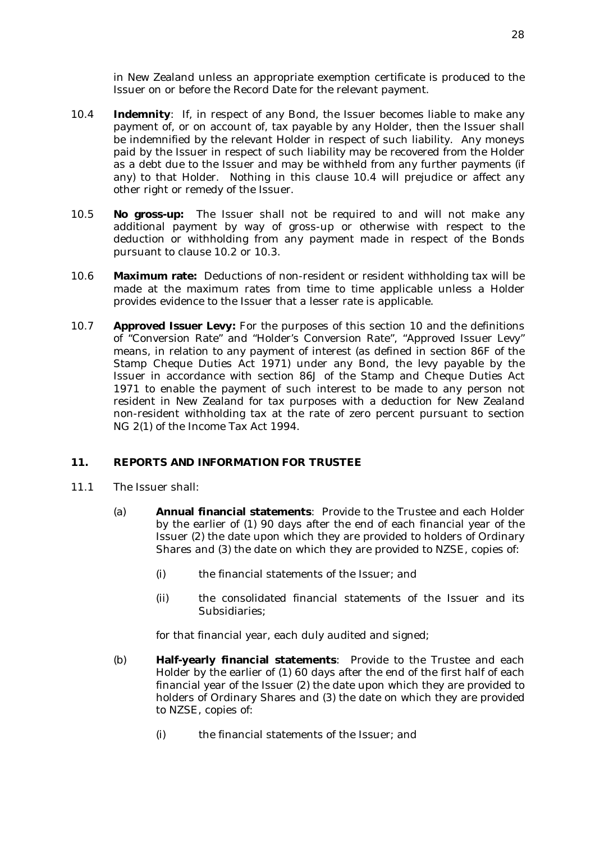in New Zealand unless an appropriate exemption certificate is produced to the Issuer on or before the Record Date for the relevant payment.

- 10.4 **Indemnity**: If, in respect of any Bond, the Issuer becomes liable to make any payment of, or on account of, tax payable by any Holder, then the Issuer shall be indemnified by the relevant Holder in respect of such liability. Any moneys paid by the Issuer in respect of such liability may be recovered from the Holder as a debt due to the Issuer and may be withheld from any further payments (if any) to that Holder. Nothing in this clause 10.4 will prejudice or affect any other right or remedy of the Issuer.
- 10.5 **No gross-up:** The Issuer shall not be required to and will not make any additional payment by way of gross-up or otherwise with respect to the deduction or withholding from any payment made in respect of the Bonds pursuant to clause 10.2 or 10.3.
- 10.6 **Maximum rate:** Deductions of non-resident or resident withholding tax will be made at the maximum rates from time to time applicable unless a Holder provides evidence to the Issuer that a lesser rate is applicable.
- 10.7 **Approved Issuer Levy:** For the purposes of this section 10 and the definitions of "Conversion Rate" and "Holder's Conversion Rate", "Approved Issuer Levy" means, in relation to any payment of interest (as defined in section 86F of the Stamp Cheque Duties Act 1971) under any Bond, the levy payable by the Issuer in accordance with section 86J of the Stamp and Cheque Duties Act 1971 to enable the payment of such interest to be made to any person not resident in New Zealand for tax purposes with a deduction for New Zealand non-resident withholding tax at the rate of zero percent pursuant to section NG 2(1) of the Income Tax Act 1994.

## **11. REPORTS AND INFORMATION FOR TRUSTEE**

- 11.1 The Issuer shall:
	- (a) **Annual financial statements**: Provide to the Trustee and each Holder by the earlier of (1) 90 days after the end of each financial year of the Issuer (2) the date upon which they are provided to holders of Ordinary Shares and (3) the date on which they are provided to NZSE, copies of:
		- (i) the financial statements of the Issuer; and
		- (ii) the consolidated financial statements of the Issuer and its Subsidiaries;

for that financial year, each duly audited and signed;

- (b) **Half-yearly financial statements**: Provide to the Trustee and each Holder by the earlier of (1) 60 days after the end of the first half of each financial year of the Issuer (2) the date upon which they are provided to holders of Ordinary Shares and (3) the date on which they are provided to NZSE, copies of:
	- (i) the financial statements of the Issuer; and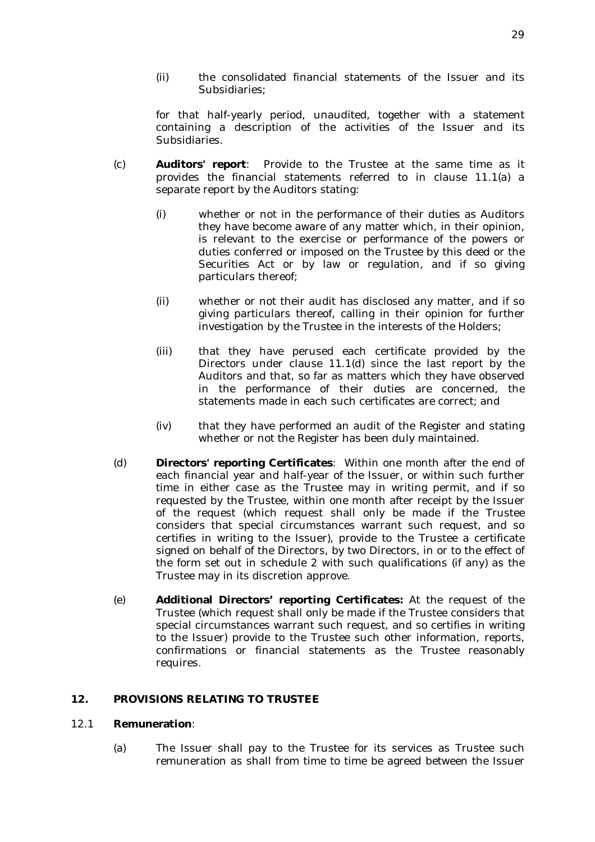(ii) the consolidated financial statements of the Issuer and its Subsidiaries;

for that half-yearly period, unaudited, together with a statement containing a description of the activities of the Issuer and its Subsidiaries.

- (c) **Auditors' report**: Provide to the Trustee at the same time as it provides the financial statements referred to in clause 11.1(a) a separate report by the Auditors stating:
	- (i) whether or not in the performance of their duties as Auditors they have become aware of any matter which, in their opinion, is relevant to the exercise or performance of the powers or duties conferred or imposed on the Trustee by this deed or the Securities Act or by law or regulation, and if so giving particulars thereof;
	- (ii) whether or not their audit has disclosed any matter, and if so giving particulars thereof, calling in their opinion for further investigation by the Trustee in the interests of the Holders;
	- (iii) that they have perused each certificate provided by the Directors under clause 11.1(d) since the last report by the Auditors and that, so far as matters which they have observed in the performance of their duties are concerned, the statements made in each such certificates are correct; and
	- (iv) that they have performed an audit of the Register and stating whether or not the Register has been duly maintained.
- (d) **Directors' reporting Certificates**: Within one month after the end of each financial year and half-year of the Issuer, or within such further time in either case as the Trustee may in writing permit, and if so requested by the Trustee, within one month after receipt by the Issuer of the request (which request shall only be made if the Trustee considers that special circumstances warrant such request, and so certifies in writing to the Issuer), provide to the Trustee a certificate signed on behalf of the Directors, by two Directors, in or to the effect of the form set out in schedule 2 with such qualifications (if any) as the Trustee may in its discretion approve.
- (e) **Additional Directors' reporting Certificates:** At the request of the Trustee (which request shall only be made if the Trustee considers that special circumstances warrant such request, and so certifies in writing to the Issuer) provide to the Trustee such other information, reports, confirmations or financial statements as the Trustee reasonably requires.

#### **12. PROVISIONS RELATING TO TRUSTEE**

#### 12.1 **Remuneration**:

(a) The Issuer shall pay to the Trustee for its services as Trustee such remuneration as shall from time to time be agreed between the Issuer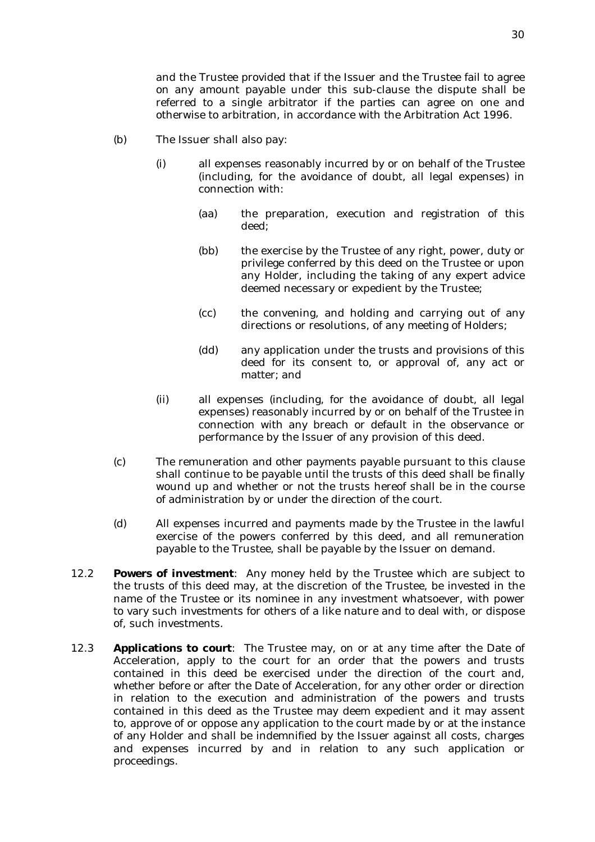and the Trustee provided that if the Issuer and the Trustee fail to agree on any amount payable under this sub-clause the dispute shall be referred to a single arbitrator if the parties can agree on one and otherwise to arbitration, in accordance with the Arbitration Act 1996.

- (b) The Issuer shall also pay:
	- (i) all expenses reasonably incurred by or on behalf of the Trustee (including, for the avoidance of doubt, all legal expenses) in connection with:
		- (aa) the preparation, execution and registration of this deed;
		- (bb) the exercise by the Trustee of any right, power, duty or privilege conferred by this deed on the Trustee or upon any Holder, including the taking of any expert advice deemed necessary or expedient by the Trustee;
		- (cc) the convening, and holding and carrying out of any directions or resolutions, of any meeting of Holders;
		- (dd) any application under the trusts and provisions of this deed for its consent to, or approval of, any act or matter; and
	- (ii) all expenses (including, for the avoidance of doubt, all legal expenses) reasonably incurred by or on behalf of the Trustee in connection with any breach or default in the observance or performance by the Issuer of any provision of this deed.
- (c) The remuneration and other payments payable pursuant to this clause shall continue to be payable until the trusts of this deed shall be finally wound up and whether or not the trusts hereof shall be in the course of administration by or under the direction of the court.
- (d) All expenses incurred and payments made by the Trustee in the lawful exercise of the powers conferred by this deed, and all remuneration payable to the Trustee, shall be payable by the Issuer on demand.
- 12.2 **Powers of investment**: Any money held by the Trustee which are subject to the trusts of this deed may, at the discretion of the Trustee, be invested in the name of the Trustee or its nominee in any investment whatsoever, with power to vary such investments for others of a like nature and to deal with, or dispose of, such investments.
- 12.3 **Applications to court**: The Trustee may, on or at any time after the Date of Acceleration, apply to the court for an order that the powers and trusts contained in this deed be exercised under the direction of the court and, whether before or after the Date of Acceleration, for any other order or direction in relation to the execution and administration of the powers and trusts contained in this deed as the Trustee may deem expedient and it may assent to, approve of or oppose any application to the court made by or at the instance of any Holder and shall be indemnified by the Issuer against all costs, charges and expenses incurred by and in relation to any such application or proceedings.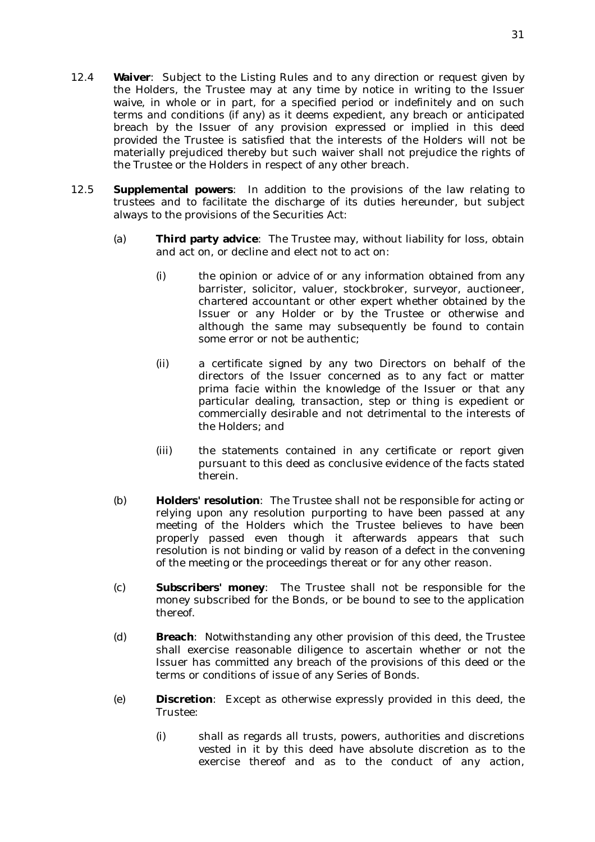- 12.4 **Waiver**: Subject to the Listing Rules and to any direction or request given by the Holders, the Trustee may at any time by notice in writing to the Issuer waive, in whole or in part, for a specified period or indefinitely and on such terms and conditions (if any) as it deems expedient, any breach or anticipated breach by the Issuer of any provision expressed or implied in this deed provided the Trustee is satisfied that the interests of the Holders will not be materially prejudiced thereby but such waiver shall not prejudice the rights of the Trustee or the Holders in respect of any other breach.
- 12.5 **Supplemental powers**: In addition to the provisions of the law relating to trustees and to facilitate the discharge of its duties hereunder, but subject always to the provisions of the Securities Act:
	- (a) **Third party advice**: The Trustee may, without liability for loss, obtain and act on, or decline and elect not to act on:
		- (i) the opinion or advice of or any information obtained from any barrister, solicitor, valuer, stockbroker, surveyor, auctioneer, chartered accountant or other expert whether obtained by the Issuer or any Holder or by the Trustee or otherwise and although the same may subsequently be found to contain some error or not be authentic;
		- (ii) a certificate signed by any two Directors on behalf of the directors of the Issuer concerned as to any fact or matter prima facie within the knowledge of the Issuer or that any particular dealing, transaction, step or thing is expedient or commercially desirable and not detrimental to the interests of the Holders; and
		- (iii) the statements contained in any certificate or report given pursuant to this deed as conclusive evidence of the facts stated therein.
	- (b) **Holders' resolution**: The Trustee shall not be responsible for acting or relying upon any resolution purporting to have been passed at any meeting of the Holders which the Trustee believes to have been properly passed even though it afterwards appears that such resolution is not binding or valid by reason of a defect in the convening of the meeting or the proceedings thereat or for any other reason.
	- (c) **Subscribers' money**: The Trustee shall not be responsible for the money subscribed for the Bonds, or be bound to see to the application thereof.
	- (d) **Breach**: Notwithstanding any other provision of this deed, the Trustee shall exercise reasonable diligence to ascertain whether or not the Issuer has committed any breach of the provisions of this deed or the terms or conditions of issue of any Series of Bonds.
	- (e) **Discretion**: Except as otherwise expressly provided in this deed, the Trustee:
		- (i) shall as regards all trusts, powers, authorities and discretions vested in it by this deed have absolute discretion as to the exercise thereof and as to the conduct of any action,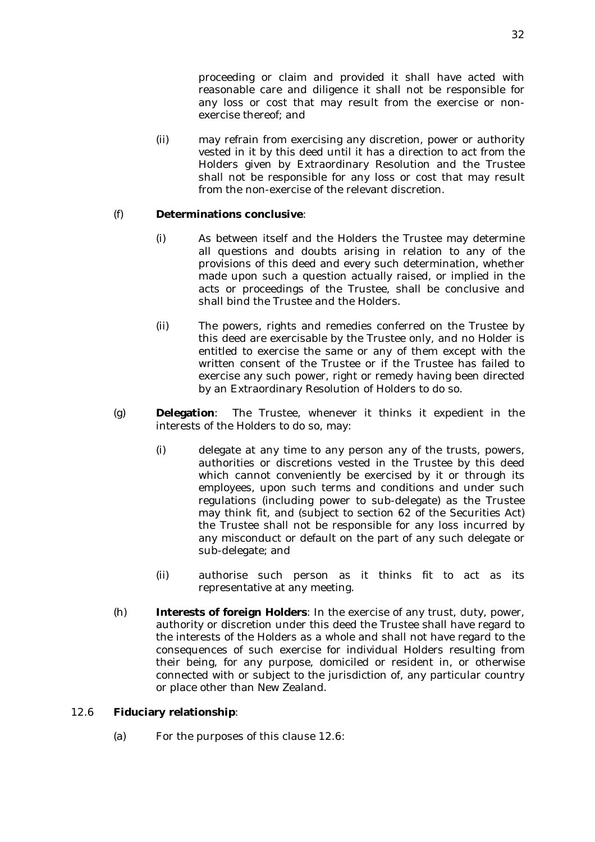proceeding or claim and provided it shall have acted with reasonable care and diligence it shall not be responsible for any loss or cost that may result from the exercise or nonexercise thereof; and

(ii) may refrain from exercising any discretion, power or authority vested in it by this deed until it has a direction to act from the Holders given by Extraordinary Resolution and the Trustee shall not be responsible for any loss or cost that may result from the non-exercise of the relevant discretion.

## (f) **Determinations conclusive**:

- (i) As between itself and the Holders the Trustee may determine all questions and doubts arising in relation to any of the provisions of this deed and every such determination, whether made upon such a question actually raised, or implied in the acts or proceedings of the Trustee, shall be conclusive and shall bind the Trustee and the Holders.
- (ii) The powers, rights and remedies conferred on the Trustee by this deed are exercisable by the Trustee only, and no Holder is entitled to exercise the same or any of them except with the written consent of the Trustee or if the Trustee has failed to exercise any such power, right or remedy having been directed by an Extraordinary Resolution of Holders to do so.
- (g) **Delegation**: The Trustee, whenever it thinks it expedient in the interests of the Holders to do so, may:
	- (i) delegate at any time to any person any of the trusts, powers, authorities or discretions vested in the Trustee by this deed which cannot conveniently be exercised by it or through its employees, upon such terms and conditions and under such regulations (including power to sub-delegate) as the Trustee may think fit, and (subject to section 62 of the Securities Act) the Trustee shall not be responsible for any loss incurred by any misconduct or default on the part of any such delegate or sub-delegate; and
	- (ii) authorise such person as it thinks fit to act as its representative at any meeting.
- (h) **Interests of foreign Holders**: In the exercise of any trust, duty, power, authority or discretion under this deed the Trustee shall have regard to the interests of the Holders as a whole and shall not have regard to the consequences of such exercise for individual Holders resulting from their being, for any purpose, domiciled or resident in, or otherwise connected with or subject to the jurisdiction of, any particular country or place other than New Zealand.

## 12.6 **Fiduciary relationship**:

(a) For the purposes of this clause 12.6: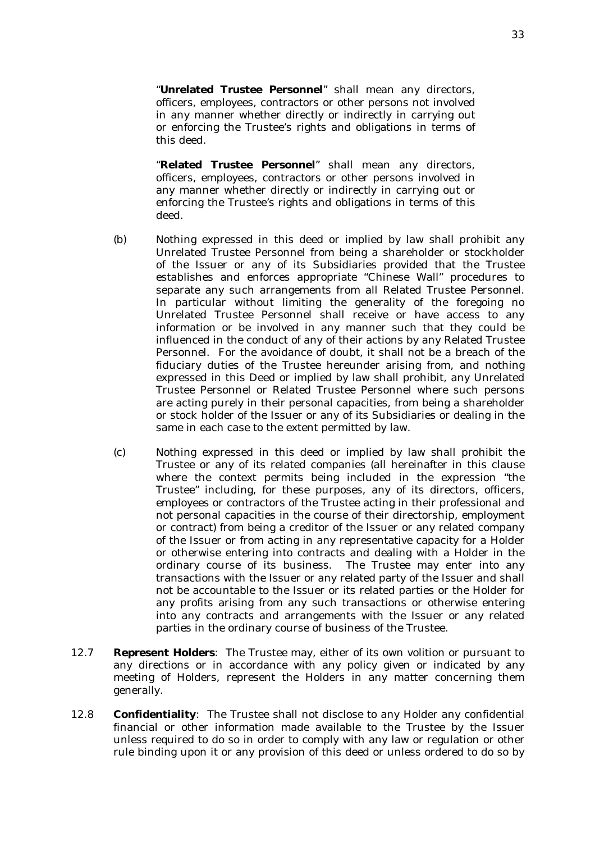"**Unrelated Trustee Personnel**" shall mean any directors, officers, employees, contractors or other persons not involved in any manner whether directly or indirectly in carrying out or enforcing the Trustee's rights and obligations in terms of this deed.

"**Related Trustee Personnel**" shall mean any directors, officers, employees, contractors or other persons involved in any manner whether directly or indirectly in carrying out or enforcing the Trustee's rights and obligations in terms of this deed.

- (b) Nothing expressed in this deed or implied by law shall prohibit any Unrelated Trustee Personnel from being a shareholder or stockholder of the Issuer or any of its Subsidiaries provided that the Trustee establishes and enforces appropriate "Chinese Wall" procedures to separate any such arrangements from all Related Trustee Personnel. In particular without limiting the generality of the foregoing no Unrelated Trustee Personnel shall receive or have access to any information or be involved in any manner such that they could be influenced in the conduct of any of their actions by any Related Trustee Personnel. For the avoidance of doubt, it shall not be a breach of the fiduciary duties of the Trustee hereunder arising from, and nothing expressed in this Deed or implied by law shall prohibit, any Unrelated Trustee Personnel or Related Trustee Personnel where such persons are acting purely in their personal capacities, from being a shareholder or stock holder of the Issuer or any of its Subsidiaries or dealing in the same in each case to the extent permitted by law.
- (c) Nothing expressed in this deed or implied by law shall prohibit the Trustee or any of its related companies (all hereinafter in this clause where the context permits being included in the expression "the Trustee" including, for these purposes, any of its directors, officers, employees or contractors of the Trustee acting in their professional and not personal capacities in the course of their directorship, employment or contract) from being a creditor of the Issuer or any related company of the Issuer or from acting in any representative capacity for a Holder or otherwise entering into contracts and dealing with a Holder in the ordinary course of its business. The Trustee may enter into any transactions with the Issuer or any related party of the Issuer and shall not be accountable to the Issuer or its related parties or the Holder for any profits arising from any such transactions or otherwise entering into any contracts and arrangements with the Issuer or any related parties in the ordinary course of business of the Trustee.
- 12.7 **Represent Holders**: The Trustee may, either of its own volition or pursuant to any directions or in accordance with any policy given or indicated by any meeting of Holders, represent the Holders in any matter concerning them generally.
- 12.8 **Confidentiality**: The Trustee shall not disclose to any Holder any confidential financial or other information made available to the Trustee by the Issuer unless required to do so in order to comply with any law or regulation or other rule binding upon it or any provision of this deed or unless ordered to do so by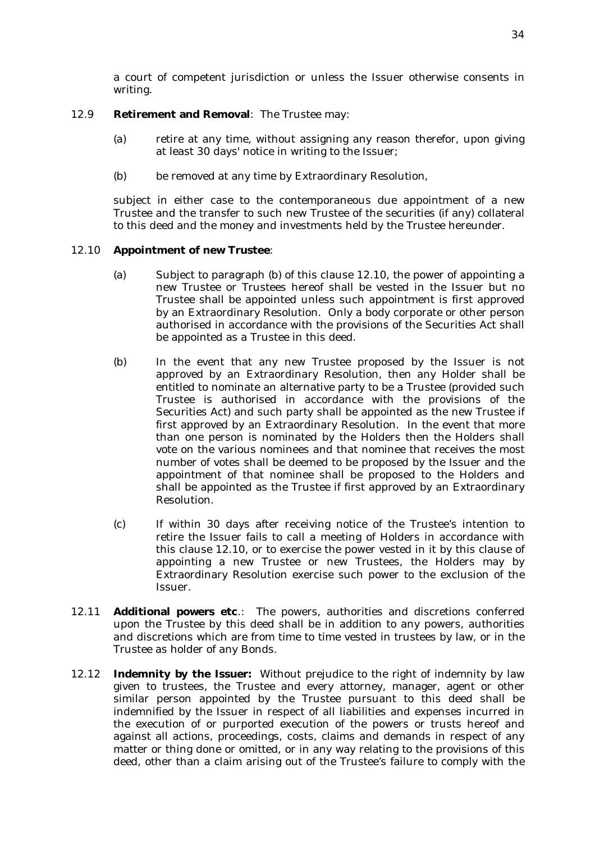a court of competent jurisdiction or unless the Issuer otherwise consents in writing.

### 12.9 **Retirement and Removal**: The Trustee may:

- (a) retire at any time, without assigning any reason therefor, upon giving at least 30 days' notice in writing to the Issuer;
- (b) be removed at any time by Extraordinary Resolution,

subject in either case to the contemporaneous due appointment of a new Trustee and the transfer to such new Trustee of the securities (if any) collateral to this deed and the money and investments held by the Trustee hereunder.

## 12.10 **Appointment of new Trustee**:

- (a) Subject to paragraph (b) of this clause 12.10, the power of appointing a new Trustee or Trustees hereof shall be vested in the Issuer but no Trustee shall be appointed unless such appointment is first approved by an Extraordinary Resolution. Only a body corporate or other person authorised in accordance with the provisions of the Securities Act shall be appointed as a Trustee in this deed.
- (b) In the event that any new Trustee proposed by the Issuer is not approved by an Extraordinary Resolution, then any Holder shall be entitled to nominate an alternative party to be a Trustee (provided such Trustee is authorised in accordance with the provisions of the Securities Act) and such party shall be appointed as the new Trustee if first approved by an Extraordinary Resolution. In the event that more than one person is nominated by the Holders then the Holders shall vote on the various nominees and that nominee that receives the most number of votes shall be deemed to be proposed by the Issuer and the appointment of that nominee shall be proposed to the Holders and shall be appointed as the Trustee if first approved by an Extraordinary Resolution.
- (c) If within 30 days after receiving notice of the Trustee's intention to retire the Issuer fails to call a meeting of Holders in accordance with this clause 12.10, or to exercise the power vested in it by this clause of appointing a new Trustee or new Trustees, the Holders may by Extraordinary Resolution exercise such power to the exclusion of the Issuer.
- 12.11 **Additional powers etc**.: The powers, authorities and discretions conferred upon the Trustee by this deed shall be in addition to any powers, authorities and discretions which are from time to time vested in trustees by law, or in the Trustee as holder of any Bonds.
- 12.12 **Indemnity by the Issuer:** Without prejudice to the right of indemnity by law given to trustees, the Trustee and every attorney, manager, agent or other similar person appointed by the Trustee pursuant to this deed shall be indemnified by the Issuer in respect of all liabilities and expenses incurred in the execution of or purported execution of the powers or trusts hereof and against all actions, proceedings, costs, claims and demands in respect of any matter or thing done or omitted, or in any way relating to the provisions of this deed, other than a claim arising out of the Trustee's failure to comply with the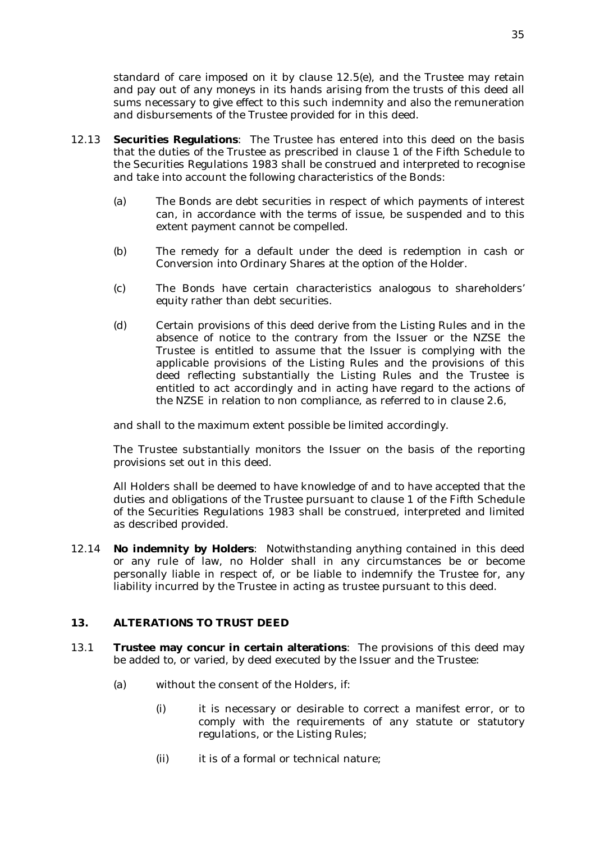standard of care imposed on it by clause 12.5(e), and the Trustee may retain and pay out of any moneys in its hands arising from the trusts of this deed all sums necessary to give effect to this such indemnity and also the remuneration and disbursements of the Trustee provided for in this deed.

- 12.13 **Securities Regulations**: The Trustee has entered into this deed on the basis that the duties of the Trustee as prescribed in clause 1 of the Fifth Schedule to the Securities Regulations 1983 shall be construed and interpreted to recognise and take into account the following characteristics of the Bonds:
	- (a) The Bonds are debt securities in respect of which payments of interest can, in accordance with the terms of issue, be suspended and to this extent payment cannot be compelled.
	- (b) The remedy for a default under the deed is redemption in cash or Conversion into Ordinary Shares at the option of the Holder.
	- (c) The Bonds have certain characteristics analogous to shareholders' equity rather than debt securities.
	- (d) Certain provisions of this deed derive from the Listing Rules and in the absence of notice to the contrary from the Issuer or the NZSE the Trustee is entitled to assume that the Issuer is complying with the applicable provisions of the Listing Rules and the provisions of this deed reflecting substantially the Listing Rules and the Trustee is entitled to act accordingly and in acting have regard to the actions of the NZSE in relation to non compliance, as referred to in clause 2.6,

and shall to the maximum extent possible be limited accordingly.

The Trustee substantially monitors the Issuer on the basis of the reporting provisions set out in this deed.

All Holders shall be deemed to have knowledge of and to have accepted that the duties and obligations of the Trustee pursuant to clause 1 of the Fifth Schedule of the Securities Regulations 1983 shall be construed, interpreted and limited as described provided.

12.14 **No indemnity by Holders**: Notwithstanding anything contained in this deed or any rule of law, no Holder shall in any circumstances be or become personally liable in respect of, or be liable to indemnify the Trustee for, any liability incurred by the Trustee in acting as trustee pursuant to this deed.

## **13. ALTERATIONS TO TRUST DEED**

- 13.1 **Trustee may concur in certain alterations**: The provisions of this deed may be added to, or varied, by deed executed by the Issuer and the Trustee:
	- (a) without the consent of the Holders, if:
		- (i) it is necessary or desirable to correct a manifest error, or to comply with the requirements of any statute or statutory regulations, or the Listing Rules;
		- (ii) it is of a formal or technical nature;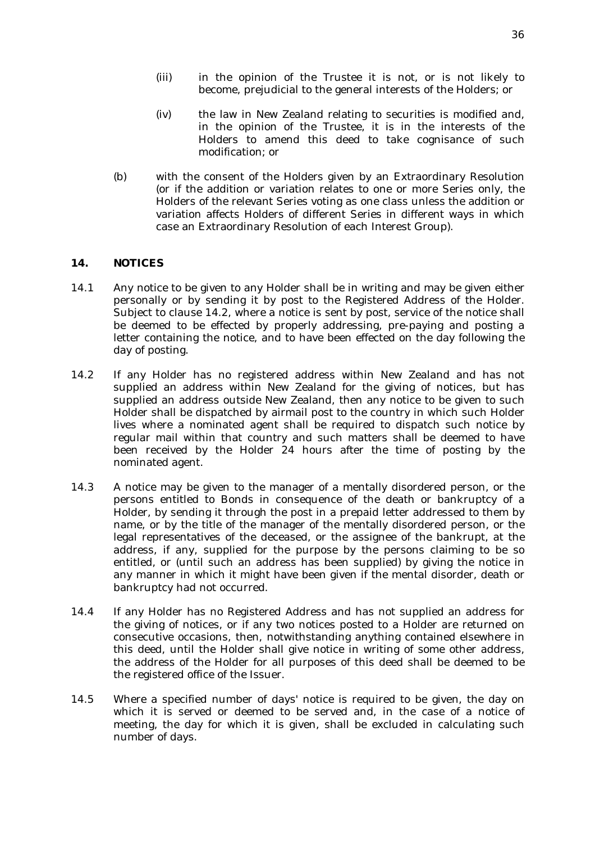- (iv) the law in New Zealand relating to securities is modified and, in the opinion of the Trustee, it is in the interests of the Holders to amend this deed to take cognisance of such modification; or
- (b) with the consent of the Holders given by an Extraordinary Resolution (or if the addition or variation relates to one or more Series only, the Holders of the relevant Series voting as one class unless the addition or variation affects Holders of different Series in different ways in which case an Extraordinary Resolution of each Interest Group).

## **14. NOTICES**

- 14.1 Any notice to be given to any Holder shall be in writing and may be given either personally or by sending it by post to the Registered Address of the Holder. Subject to clause 14.2, where a notice is sent by post, service of the notice shall be deemed to be effected by properly addressing, pre-paying and posting a letter containing the notice, and to have been effected on the day following the day of posting.
- 14.2 If any Holder has no registered address within New Zealand and has not supplied an address within New Zealand for the giving of notices, but has supplied an address outside New Zealand, then any notice to be given to such Holder shall be dispatched by airmail post to the country in which such Holder lives where a nominated agent shall be required to dispatch such notice by regular mail within that country and such matters shall be deemed to have been received by the Holder 24 hours after the time of posting by the nominated agent.
- 14.3 A notice may be given to the manager of a mentally disordered person, or the persons entitled to Bonds in consequence of the death or bankruptcy of a Holder, by sending it through the post in a prepaid letter addressed to them by name, or by the title of the manager of the mentally disordered person, or the legal representatives of the deceased, or the assignee of the bankrupt, at the address, if any, supplied for the purpose by the persons claiming to be so entitled, or (until such an address has been supplied) by giving the notice in any manner in which it might have been given if the mental disorder, death or bankruptcy had not occurred.
- 14.4 If any Holder has no Registered Address and has not supplied an address for the giving of notices, or if any two notices posted to a Holder are returned on consecutive occasions, then, notwithstanding anything contained elsewhere in this deed, until the Holder shall give notice in writing of some other address, the address of the Holder for all purposes of this deed shall be deemed to be the registered office of the Issuer.
- 14.5 Where a specified number of days' notice is required to be given, the day on which it is served or deemed to be served and, in the case of a notice of meeting, the day for which it is given, shall be excluded in calculating such number of days.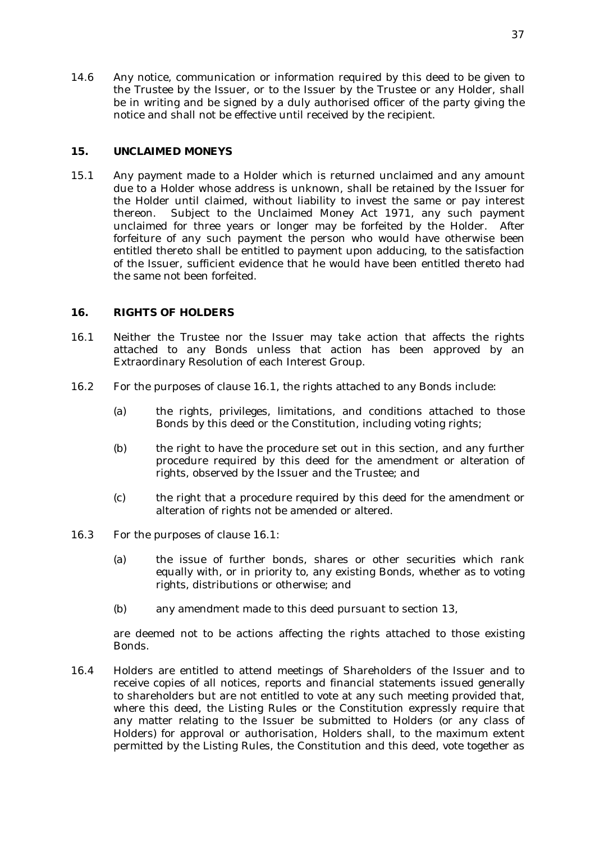14.6 Any notice, communication or information required by this deed to be given to the Trustee by the Issuer, or to the Issuer by the Trustee or any Holder, shall be in writing and be signed by a duly authorised officer of the party giving the notice and shall not be effective until received by the recipient.

## **15. UNCLAIMED MONEYS**

15.1 Any payment made to a Holder which is returned unclaimed and any amount due to a Holder whose address is unknown, shall be retained by the Issuer for the Holder until claimed, without liability to invest the same or pay interest thereon. Subject to the Unclaimed Money Act 1971, any such payment unclaimed for three years or longer may be forfeited by the Holder. After forfeiture of any such payment the person who would have otherwise been entitled thereto shall be entitled to payment upon adducing, to the satisfaction of the Issuer, sufficient evidence that he would have been entitled thereto had the same not been forfeited.

## **16. RIGHTS OF HOLDERS**

- 16.1 Neither the Trustee nor the Issuer may take action that affects the rights attached to any Bonds unless that action has been approved by an Extraordinary Resolution of each Interest Group.
- 16.2 For the purposes of clause 16.1, the rights attached to any Bonds include:
	- (a) the rights, privileges, limitations, and conditions attached to those Bonds by this deed or the Constitution, including voting rights;
	- (b) the right to have the procedure set out in this section, and any further procedure required by this deed for the amendment or alteration of rights, observed by the Issuer and the Trustee; and
	- (c) the right that a procedure required by this deed for the amendment or alteration of rights not be amended or altered.
- 16.3 For the purposes of clause 16.1:
	- (a) the issue of further bonds, shares or other securities which rank equally with, or in priority to, any existing Bonds, whether as to voting rights, distributions or otherwise; and
	- (b) any amendment made to this deed pursuant to section 13,

are deemed not to be actions affecting the rights attached to those existing Bonds.

16.4 Holders are entitled to attend meetings of Shareholders of the Issuer and to receive copies of all notices, reports and financial statements issued generally to shareholders but are not entitled to vote at any such meeting provided that, where this deed, the Listing Rules or the Constitution expressly require that any matter relating to the Issuer be submitted to Holders (or any class of Holders) for approval or authorisation, Holders shall, to the maximum extent permitted by the Listing Rules, the Constitution and this deed, vote together as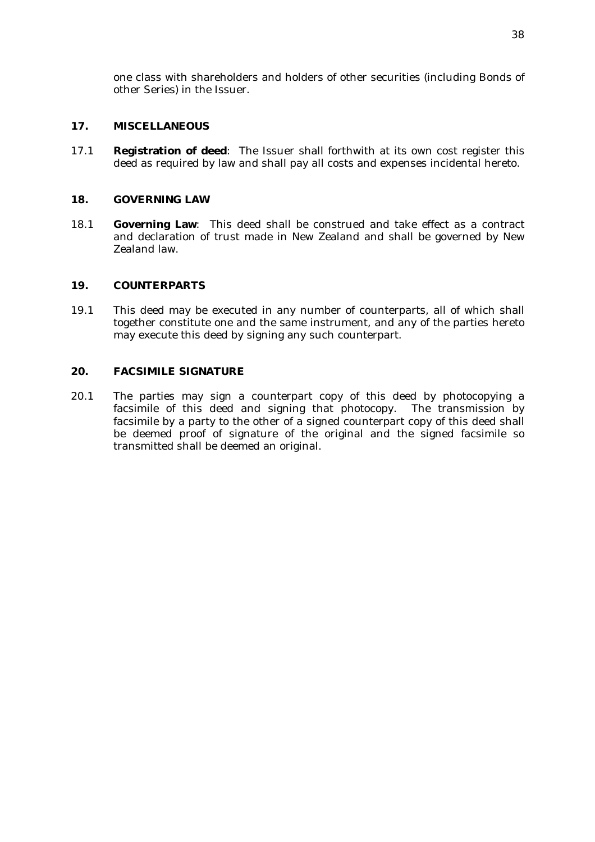one class with shareholders and holders of other securities (including Bonds of other Series) in the Issuer.

## **17. MISCELLANEOUS**

17.1 **Registration of deed**: The Issuer shall forthwith at its own cost register this deed as required by law and shall pay all costs and expenses incidental hereto.

### **18. GOVERNING LAW**

18.1 **Governing Law**: This deed shall be construed and take effect as a contract and declaration of trust made in New Zealand and shall be governed by New Zealand law.

#### **19. COUNTERPARTS**

19.1 This deed may be executed in any number of counterparts, all of which shall together constitute one and the same instrument, and any of the parties hereto may execute this deed by signing any such counterpart.

## **20. FACSIMILE SIGNATURE**

20.1 The parties may sign a counterpart copy of this deed by photocopying a facsimile of this deed and signing that photocopy. The transmission by facsimile by a party to the other of a signed counterpart copy of this deed shall be deemed proof of signature of the original and the signed facsimile so transmitted shall be deemed an original.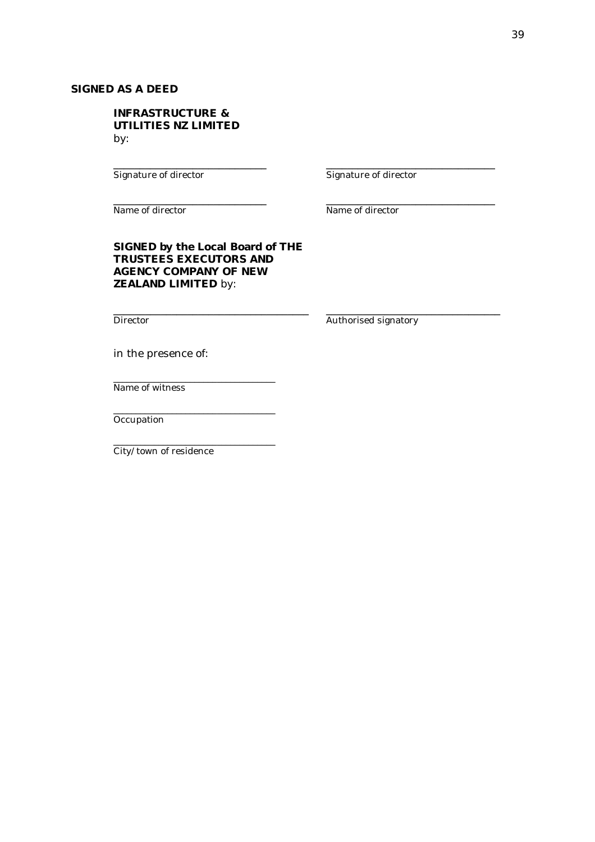## **SIGNED AS A DEED**

### **INFRASTRUCTURE & UTILITIES NZ LIMITED** by:

Signature of director Signature of director

Name of director Name of director

\_\_\_\_\_\_\_\_\_\_\_\_\_\_\_\_\_\_\_\_\_\_\_\_\_\_\_\_\_ \_\_\_\_\_\_\_\_\_\_\_\_\_\_\_\_\_\_\_\_\_\_\_\_\_\_\_\_\_\_\_\_

\_\_\_\_\_\_\_\_\_\_\_\_\_\_\_\_\_\_\_\_\_\_\_\_\_\_\_\_\_ \_\_\_\_\_\_\_\_\_\_\_\_\_\_\_\_\_\_\_\_\_\_\_\_\_\_\_\_\_\_\_\_

\_\_\_\_\_\_\_\_\_\_\_\_\_\_\_\_\_\_\_\_\_\_\_\_\_\_\_\_\_\_\_\_\_\_\_\_\_ \_\_\_\_\_\_\_\_\_\_\_\_\_\_\_\_\_\_\_\_\_\_\_\_\_\_\_\_\_\_\_\_\_

## **SIGNED by the Local Board of THE TRUSTEES EXECUTORS AND AGENCY COMPANY OF NEW ZEALAND LIMITED** by:

Director **Authorised signatory** 

in the presence of:

\_\_\_\_\_\_\_\_\_\_\_\_\_\_\_\_\_\_\_\_\_\_\_\_\_\_\_\_\_\_\_\_\_\_\_\_

\_\_\_\_\_\_\_\_\_\_\_\_\_\_\_\_\_\_\_\_\_\_\_\_\_\_\_\_\_\_\_\_\_\_\_\_

\_\_\_\_\_\_\_\_\_\_\_\_\_\_\_\_\_\_\_\_\_\_\_\_\_\_\_\_\_\_\_\_\_\_\_\_

Name of witness

**Occupation** 

City/town of residence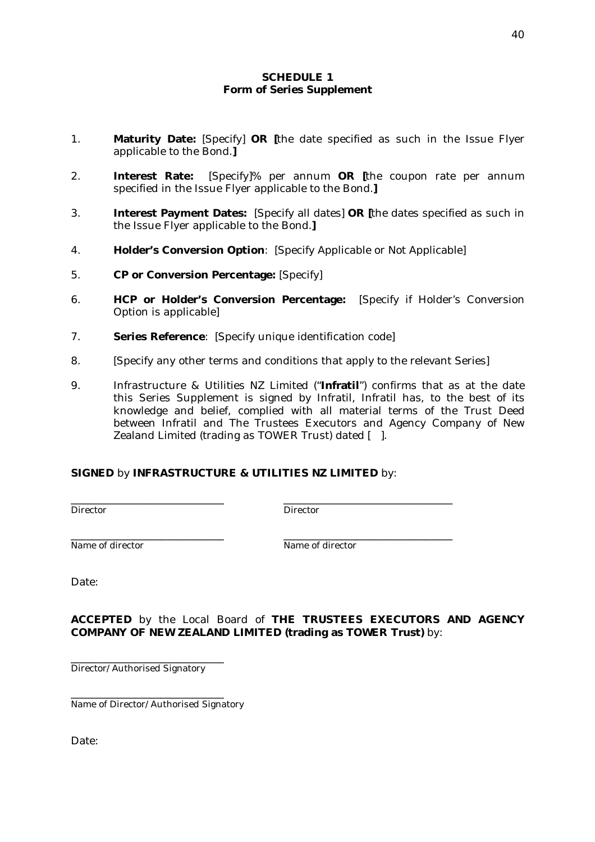## **SCHEDULE 1 Form of Series Supplement**

- 1. **Maturity Date:** [Specify] **OR [**the date specified as such in the Issue Flyer applicable to the Bond.**]**
- 2. **Interest Rate:** [Specify]% per annum **OR [**the coupon rate per annum specified in the Issue Flyer applicable to the Bond.**]**
- 3. **Interest Payment Dates:** [Specify all dates] **OR [**the dates specified as such in the Issue Flyer applicable to the Bond.**]**
- 4. **Holder's Conversion Option**: [Specify Applicable or Not Applicable]
- 5. **CP or Conversion Percentage:** [Specify]
- 6. **HCP or Holder's Conversion Percentage:** [Specify if Holder's Conversion Option is applicable]
- 7. **Series Reference**: [Specify unique identification code]
- 8. [Specify any other terms and conditions that apply to the relevant Series]
- 9. Infrastructure & Utilities NZ Limited ("**Infratil**") confirms that as at the date this Series Supplement is signed by Infratil, Infratil has, to the best of its knowledge and belief, complied with all material terms of the Trust Deed between Infratil and The Trustees Executors and Agency Company of New Zealand Limited (trading as TOWER Trust) dated [ ].

## **SIGNED** by **INFRASTRUCTURE & UTILITIES NZ LIMITED** by:

\_\_\_\_\_\_\_\_\_\_\_\_\_\_\_\_\_\_\_\_\_\_\_\_\_\_\_\_\_ \_\_\_\_\_\_\_\_\_\_\_\_\_\_\_\_\_\_\_\_\_\_\_\_\_\_\_\_\_\_\_\_ Director Director

Name of director Name of director

\_\_\_\_\_\_\_\_\_\_\_\_\_\_\_\_\_\_\_\_\_\_\_\_\_\_\_\_\_ \_\_\_\_\_\_\_\_\_\_\_\_\_\_\_\_\_\_\_\_\_\_\_\_\_\_\_\_\_\_\_\_

Date:

**ACCEPTED** by the Local Board of **THE TRUSTEES EXECUTORS AND AGENCY COMPANY OF NEW ZEALAND LIMITED (trading as TOWER Trust)** by:

Director/Authorised Signatory

\_\_\_\_\_\_\_\_\_\_\_\_\_\_\_\_\_\_\_\_\_\_\_\_\_\_\_\_\_

\_\_\_\_\_\_\_\_\_\_\_\_\_\_\_\_\_\_\_\_\_\_\_\_\_\_\_\_\_ Name of Director/Authorised Signatory

Date: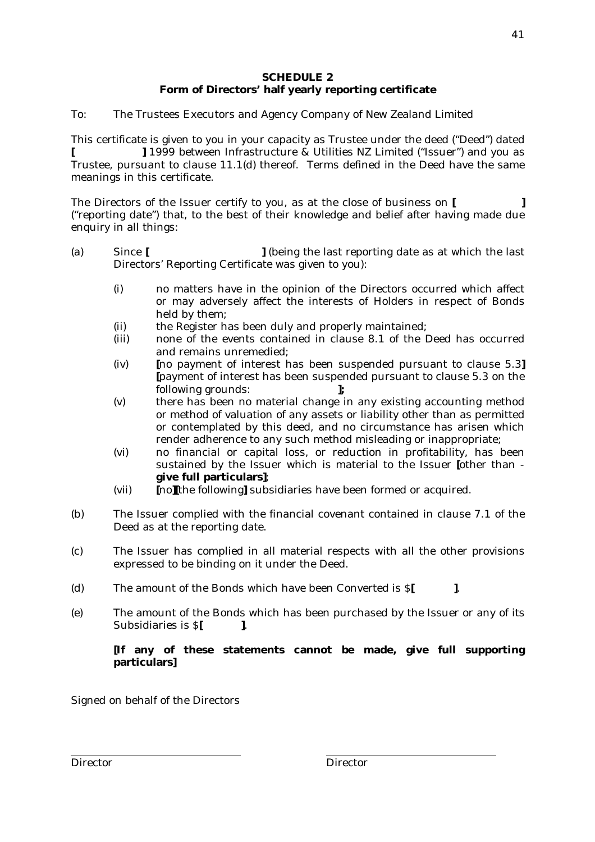## **SCHEDULE 2 Form of Directors' half yearly reporting certificate**

To: The Trustees Executors and Agency Company of New Zealand Limited

This certificate is given to you in your capacity as Trustee under the deed ("Deed") dated **[ ]** 1999 between Infrastructure & Utilities NZ Limited ("Issuer") and you as Trustee, pursuant to clause 11.1(d) thereof. Terms defined in the Deed have the same meanings in this certificate.

The Directors of the Issuer certify to you, as at the close of business on **[ ]** ("reporting date") that, to the best of their knowledge and belief after having made due enquiry in all things:

- (a) Since **[ ]** (being the last reporting date as at which the last Directors' Reporting Certificate was given to you):
	- (i) no matters have in the opinion of the Directors occurred which affect or may adversely affect the interests of Holders in respect of Bonds held by them;
	- (ii) the Register has been duly and properly maintained;
	- (iii) none of the events contained in clause 8.1 of the Deed has occurred and remains unremedied;
	- (iv) **[**no payment of interest has been suspended pursuant to clause 5.3**] [**payment of interest has been suspended pursuant to clause 5.3 on the following grounds: **];**
	- (v) there has been no material change in any existing accounting method or method of valuation of any assets or liability other than as permitted or contemplated by this deed, and no circumstance has arisen which render adherence to any such method misleading or inappropriate;
	- (vi) no financial or capital loss, or reduction in profitability, has been sustained by the Issuer which is material to the Issuer **[**other than **give full particulars]**;
	- (vii) **[**no**][**the following**]** subsidiaries have been formed or acquired.
- (b) The Issuer complied with the financial covenant contained in clause 7.1 of the Deed as at the reporting date.
- (c) The Issuer has complied in all material respects with all the other provisions expressed to be binding on it under the Deed.
- (d) The amount of the Bonds which have been Converted is \$**[ ]**.
- (e) The amount of the Bonds which has been purchased by the Issuer or any of its Subsidiaries is \$**[ ]**.

# **[If any of these statements cannot be made, give full supporting particulars]**

Signed on behalf of the Directors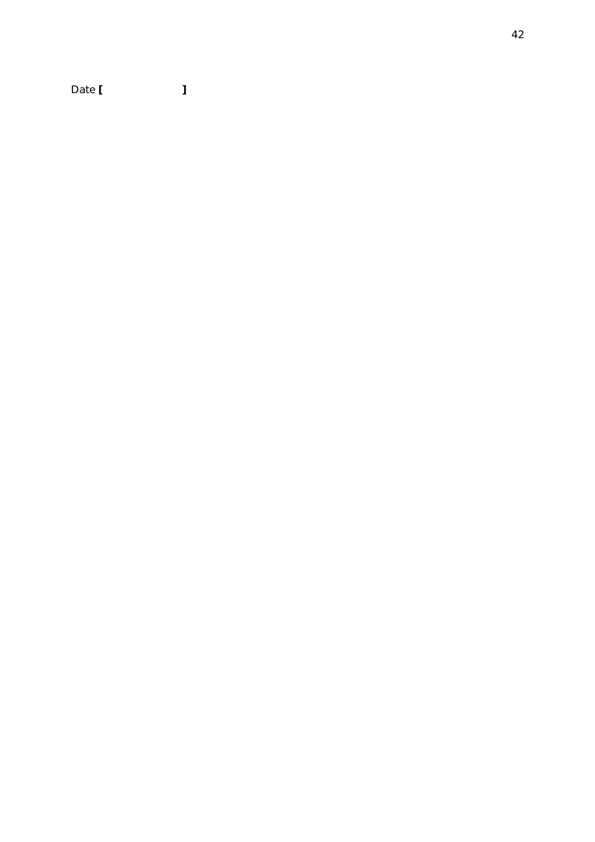Date **[ ]**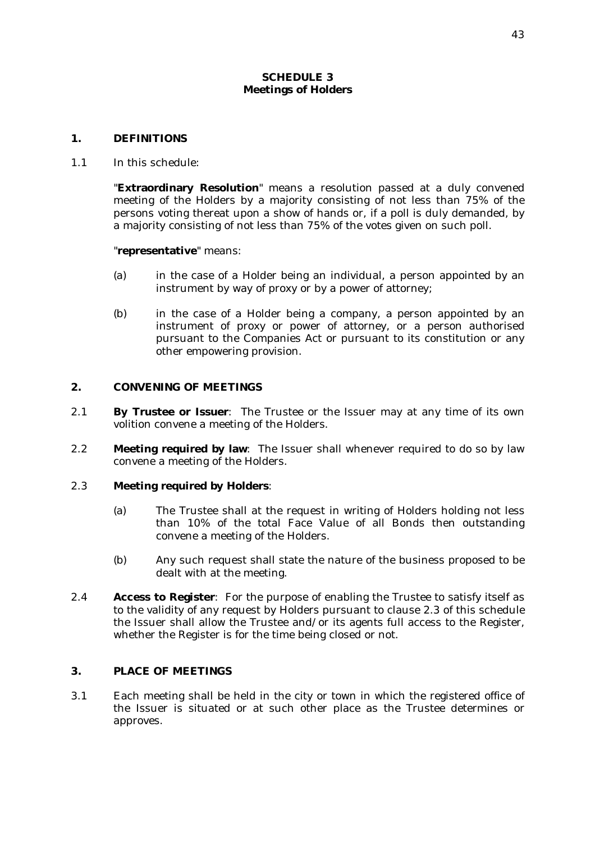#### **SCHEDULE 3 Meetings of Holders**

#### **1. DEFINITIONS**

1.1 In this schedule:

"**Extraordinary Resolution**" means a resolution passed at a duly convened meeting of the Holders by a majority consisting of not less than 75% of the persons voting thereat upon a show of hands or, if a poll is duly demanded, by a majority consisting of not less than 75% of the votes given on such poll.

#### "**representative**" means:

- (a) in the case of a Holder being an individual, a person appointed by an instrument by way of proxy or by a power of attorney;
- (b) in the case of a Holder being a company, a person appointed by an instrument of proxy or power of attorney, or a person authorised pursuant to the Companies Act or pursuant to its constitution or any other empowering provision.

#### **2. CONVENING OF MEETINGS**

- 2.1 **By Trustee or Issuer**: The Trustee or the Issuer may at any time of its own volition convene a meeting of the Holders.
- 2.2 **Meeting required by law**: The Issuer shall whenever required to do so by law convene a meeting of the Holders.

#### 2.3 **Meeting required by Holders**:

- (a) The Trustee shall at the request in writing of Holders holding not less than 10% of the total Face Value of all Bonds then outstanding convene a meeting of the Holders.
- (b) Any such request shall state the nature of the business proposed to be dealt with at the meeting.
- 2.4 **Access to Register**: For the purpose of enabling the Trustee to satisfy itself as to the validity of any request by Holders pursuant to clause 2.3 of this schedule the Issuer shall allow the Trustee and/or its agents full access to the Register, whether the Register is for the time being closed or not.

#### **3. PLACE OF MEETINGS**

3.1 Each meeting shall be held in the city or town in which the registered office of the Issuer is situated or at such other place as the Trustee determines or approves.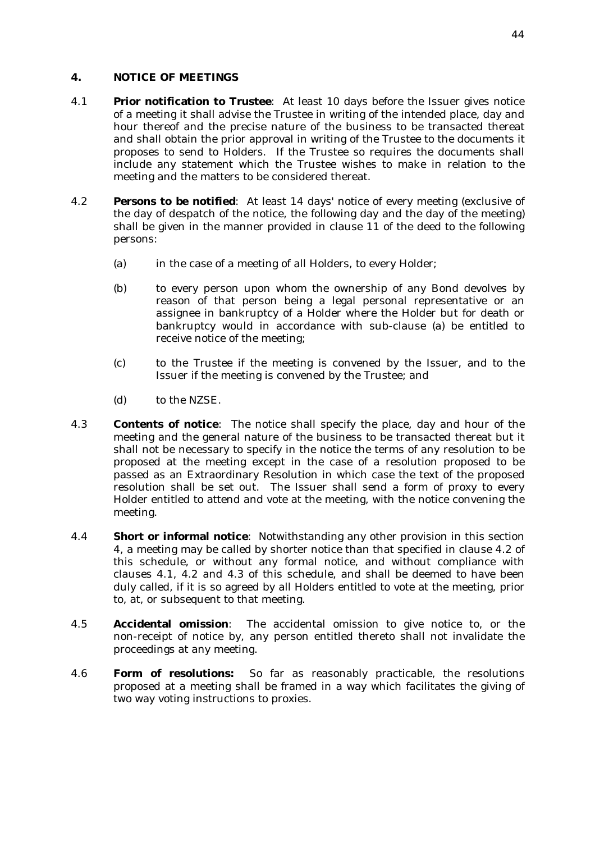## **4. NOTICE OF MEETINGS**

- 4.1 **Prior notification to Trustee**: At least 10 days before the Issuer gives notice of a meeting it shall advise the Trustee in writing of the intended place, day and hour thereof and the precise nature of the business to be transacted thereat and shall obtain the prior approval in writing of the Trustee to the documents it proposes to send to Holders. If the Trustee so requires the documents shall include any statement which the Trustee wishes to make in relation to the meeting and the matters to be considered thereat.
- 4.2 **Persons to be notified**: At least 14 days' notice of every meeting (exclusive of the day of despatch of the notice, the following day and the day of the meeting) shall be given in the manner provided in clause 11 of the deed to the following persons:
	- (a) in the case of a meeting of all Holders, to every Holder;
	- (b) to every person upon whom the ownership of any Bond devolves by reason of that person being a legal personal representative or an assignee in bankruptcy of a Holder where the Holder but for death or bankruptcy would in accordance with sub-clause (a) be entitled to receive notice of the meeting;
	- (c) to the Trustee if the meeting is convened by the Issuer, and to the Issuer if the meeting is convened by the Trustee; and
	- (d) to the NZSE.
- 4.3 **Contents of notice**: The notice shall specify the place, day and hour of the meeting and the general nature of the business to be transacted thereat but it shall not be necessary to specify in the notice the terms of any resolution to be proposed at the meeting except in the case of a resolution proposed to be passed as an Extraordinary Resolution in which case the text of the proposed resolution shall be set out. The Issuer shall send a form of proxy to every Holder entitled to attend and vote at the meeting, with the notice convening the meeting.
- 4.4 **Short or informal notice**: Notwithstanding any other provision in this section 4, a meeting may be called by shorter notice than that specified in clause 4.2 of this schedule, or without any formal notice, and without compliance with clauses 4.1, 4.2 and 4.3 of this schedule, and shall be deemed to have been duly called, if it is so agreed by all Holders entitled to vote at the meeting, prior to, at, or subsequent to that meeting.
- 4.5 **Accidental omission**: The accidental omission to give notice to, or the non-receipt of notice by, any person entitled thereto shall not invalidate the proceedings at any meeting.
- 4.6 **Form of resolutions:** So far as reasonably practicable, the resolutions proposed at a meeting shall be framed in a way which facilitates the giving of two way voting instructions to proxies.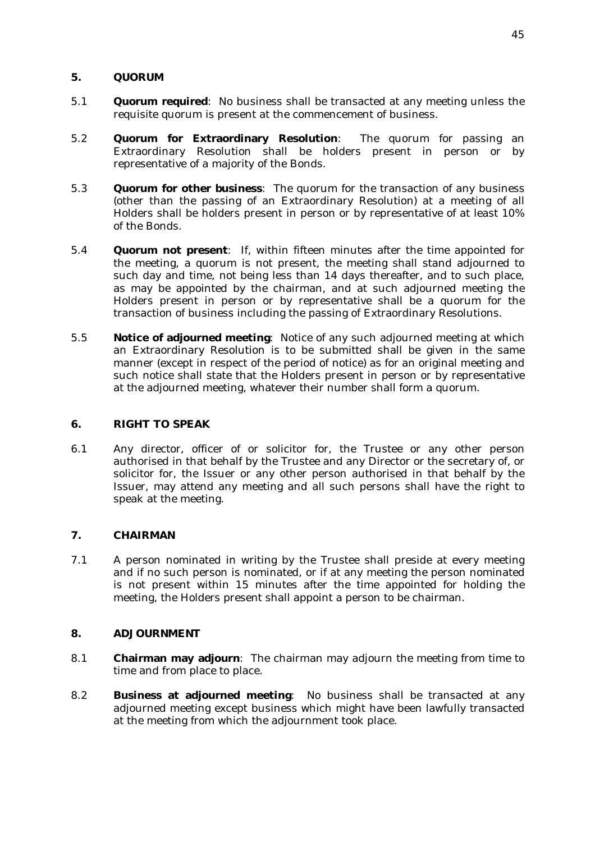## **5. QUORUM**

- 5.1 **Quorum required**: No business shall be transacted at any meeting unless the requisite quorum is present at the commencement of business.
- 5.2 **Quorum for Extraordinary Resolution**: The quorum for passing an Extraordinary Resolution shall be holders present in person or by representative of a majority of the Bonds.
- 5.3 **Quorum for other business**: The quorum for the transaction of any business (other than the passing of an Extraordinary Resolution) at a meeting of all Holders shall be holders present in person or by representative of at least 10% of the Bonds.
- 5.4 **Quorum not present**: If, within fifteen minutes after the time appointed for the meeting, a quorum is not present, the meeting shall stand adjourned to such day and time, not being less than 14 days thereafter, and to such place, as may be appointed by the chairman, and at such adjourned meeting the Holders present in person or by representative shall be a quorum for the transaction of business including the passing of Extraordinary Resolutions.
- 5.5 **Notice of adjourned meeting**: Notice of any such adjourned meeting at which an Extraordinary Resolution is to be submitted shall be given in the same manner (except in respect of the period of notice) as for an original meeting and such notice shall state that the Holders present in person or by representative at the adjourned meeting, whatever their number shall form a quorum.

## **6. RIGHT TO SPEAK**

6.1 Any director, officer of or solicitor for, the Trustee or any other person authorised in that behalf by the Trustee and any Director or the secretary of, or solicitor for, the Issuer or any other person authorised in that behalf by the Issuer, may attend any meeting and all such persons shall have the right to speak at the meeting.

## **7. CHAIRMAN**

7.1 A person nominated in writing by the Trustee shall preside at every meeting and if no such person is nominated, or if at any meeting the person nominated is not present within 15 minutes after the time appointed for holding the meeting, the Holders present shall appoint a person to be chairman.

## **8. ADJOURNMENT**

- 8.1 **Chairman may adjourn**: The chairman may adjourn the meeting from time to time and from place to place.
- 8.2 **Business at adjourned meeting**: No business shall be transacted at any adjourned meeting except business which might have been lawfully transacted at the meeting from which the adjournment took place.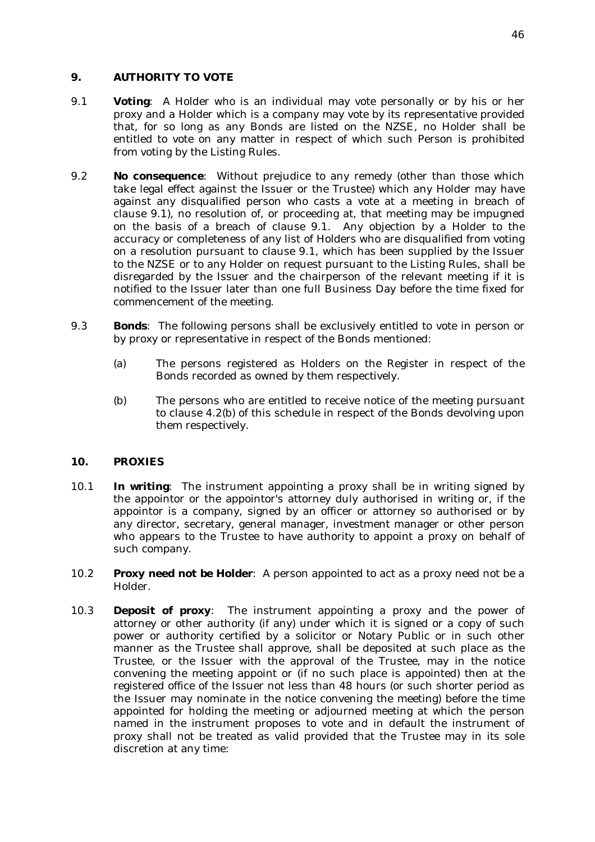## **9. AUTHORITY TO VOTE**

- 9.1 **Voting**: A Holder who is an individual may vote personally or by his or her proxy and a Holder which is a company may vote by its representative provided that, for so long as any Bonds are listed on the NZSE, no Holder shall be entitled to vote on any matter in respect of which such Person is prohibited from voting by the Listing Rules.
- 9.2 **No consequence**: Without prejudice to any remedy (other than those which take legal effect against the Issuer or the Trustee) which any Holder may have against any disqualified person who casts a vote at a meeting in breach of clause 9.1), no resolution of, or proceeding at, that meeting may be impugned on the basis of a breach of clause 9.1. Any objection by a Holder to the accuracy or completeness of any list of Holders who are disqualified from voting on a resolution pursuant to clause 9.1, which has been supplied by the Issuer to the NZSE or to any Holder on request pursuant to the Listing Rules, shall be disregarded by the Issuer and the chairperson of the relevant meeting if it is notified to the Issuer later than one full Business Day before the time fixed for commencement of the meeting.
- 9.3 **Bonds**: The following persons shall be exclusively entitled to vote in person or by proxy or representative in respect of the Bonds mentioned:
	- (a) The persons registered as Holders on the Register in respect of the Bonds recorded as owned by them respectively.
	- (b) The persons who are entitled to receive notice of the meeting pursuant to clause 4.2(b) of this schedule in respect of the Bonds devolving upon them respectively.

## **10. PROXIES**

- 10.1 **In writing**: The instrument appointing a proxy shall be in writing signed by the appointor or the appointor's attorney duly authorised in writing or, if the appointor is a company, signed by an officer or attorney so authorised or by any director, secretary, general manager, investment manager or other person who appears to the Trustee to have authority to appoint a proxy on behalf of such company.
- 10.2 **Proxy need not be Holder**: A person appointed to act as a proxy need not be a Holder.
- 10.3 **Deposit of proxy**: The instrument appointing a proxy and the power of attorney or other authority (if any) under which it is signed or a copy of such power or authority certified by a solicitor or Notary Public or in such other manner as the Trustee shall approve, shall be deposited at such place as the Trustee, or the Issuer with the approval of the Trustee, may in the notice convening the meeting appoint or (if no such place is appointed) then at the registered office of the Issuer not less than 48 hours (or such shorter period as the Issuer may nominate in the notice convening the meeting) before the time appointed for holding the meeting or adjourned meeting at which the person named in the instrument proposes to vote and in default the instrument of proxy shall not be treated as valid provided that the Trustee may in its sole discretion at any time: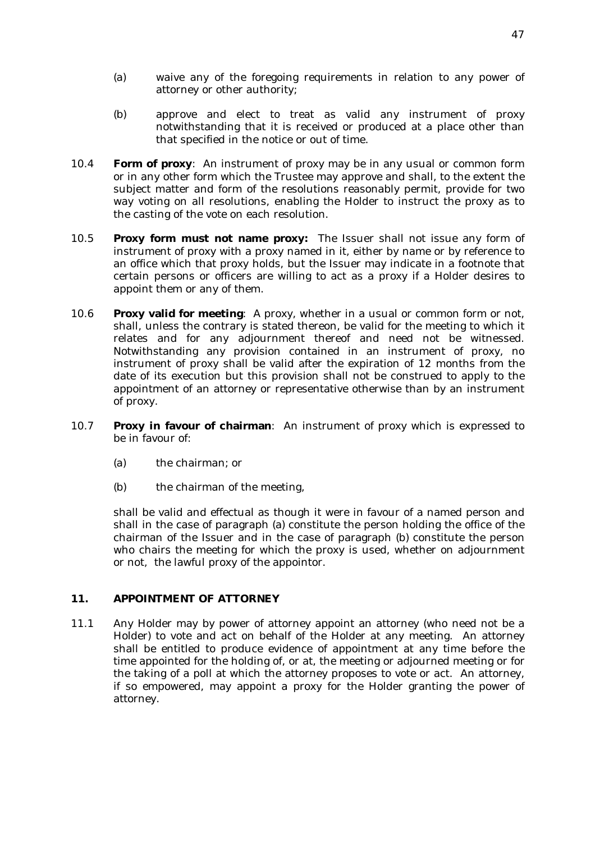- (a) waive any of the foregoing requirements in relation to any power of attorney or other authority;
- (b) approve and elect to treat as valid any instrument of proxy notwithstanding that it is received or produced at a place other than that specified in the notice or out of time.
- 10.4 **Form of proxy**: An instrument of proxy may be in any usual or common form or in any other form which the Trustee may approve and shall, to the extent the subject matter and form of the resolutions reasonably permit, provide for two way voting on all resolutions, enabling the Holder to instruct the proxy as to the casting of the vote on each resolution.
- 10.5 **Proxy form must not name proxy:** The Issuer shall not issue any form of instrument of proxy with a proxy named in it, either by name or by reference to an office which that proxy holds, but the Issuer may indicate in a footnote that certain persons or officers are willing to act as a proxy if a Holder desires to appoint them or any of them.
- 10.6 **Proxy valid for meeting**: A proxy, whether in a usual or common form or not, shall, unless the contrary is stated thereon, be valid for the meeting to which it relates and for any adjournment thereof and need not be witnessed. Notwithstanding any provision contained in an instrument of proxy, no instrument of proxy shall be valid after the expiration of 12 months from the date of its execution but this provision shall not be construed to apply to the appointment of an attorney or representative otherwise than by an instrument of proxy.
- 10.7 **Proxy in favour of chairman**: An instrument of proxy which is expressed to be in favour of:
	- (a) the chairman; or
	- (b) the chairman of the meeting,

shall be valid and effectual as though it were in favour of a named person and shall in the case of paragraph (a) constitute the person holding the office of the chairman of the Issuer and in the case of paragraph (b) constitute the person who chairs the meeting for which the proxy is used, whether on adjournment or not, the lawful proxy of the appointor.

## **11. APPOINTMENT OF ATTORNEY**

11.1 Any Holder may by power of attorney appoint an attorney (who need not be a Holder) to vote and act on behalf of the Holder at any meeting. An attorney shall be entitled to produce evidence of appointment at any time before the time appointed for the holding of, or at, the meeting or adjourned meeting or for the taking of a poll at which the attorney proposes to vote or act. An attorney, if so empowered, may appoint a proxy for the Holder granting the power of attorney.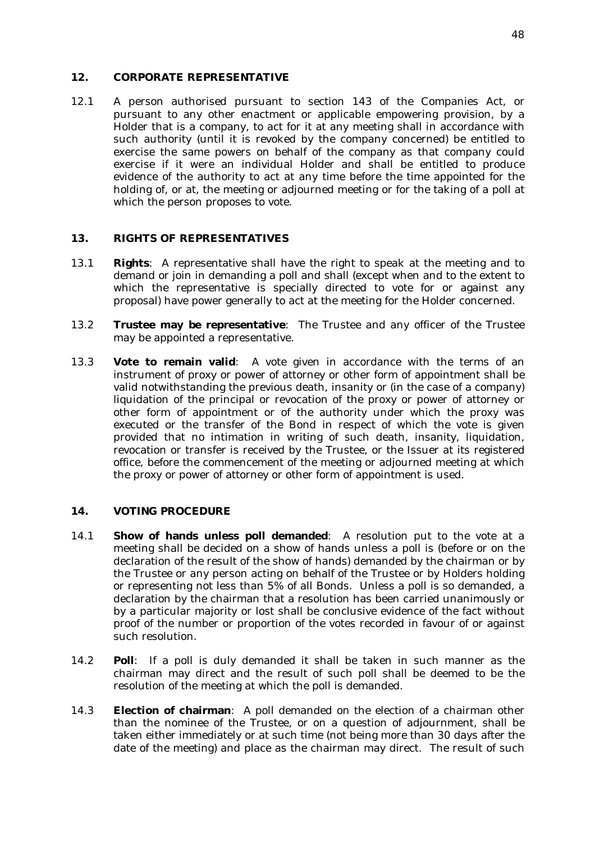#### **12. CORPORATE REPRESENTATIVE**

12.1 A person authorised pursuant to section 143 of the Companies Act, or pursuant to any other enactment or applicable empowering provision, by a Holder that is a company, to act for it at any meeting shall in accordance with such authority (until it is revoked by the company concerned) be entitled to exercise the same powers on behalf of the company as that company could exercise if it were an individual Holder and shall be entitled to produce evidence of the authority to act at any time before the time appointed for the holding of, or at, the meeting or adjourned meeting or for the taking of a poll at which the person proposes to vote.

#### **13. RIGHTS OF REPRESENTATIVES**

- 13.1 **Rights**: A representative shall have the right to speak at the meeting and to demand or join in demanding a poll and shall (except when and to the extent to which the representative is specially directed to vote for or against any proposal) have power generally to act at the meeting for the Holder concerned.
- 13.2 **Trustee may be representative**: The Trustee and any officer of the Trustee may be appointed a representative.
- 13.3 **Vote to remain valid**: A vote given in accordance with the terms of an instrument of proxy or power of attorney or other form of appointment shall be valid notwithstanding the previous death, insanity or (in the case of a company) liquidation of the principal or revocation of the proxy or power of attorney or other form of appointment or of the authority under which the proxy was executed or the transfer of the Bond in respect of which the vote is given provided that no intimation in writing of such death, insanity, liquidation, revocation or transfer is received by the Trustee, or the Issuer at its registered office, before the commencement of the meeting or adjourned meeting at which the proxy or power of attorney or other form of appointment is used.

#### **14. VOTING PROCEDURE**

- 14.1 **Show of hands unless poll demanded**: A resolution put to the vote at a meeting shall be decided on a show of hands unless a poll is (before or on the declaration of the result of the show of hands) demanded by the chairman or by the Trustee or any person acting on behalf of the Trustee or by Holders holding or representing not less than 5% of all Bonds. Unless a poll is so demanded, a declaration by the chairman that a resolution has been carried unanimously or by a particular majority or lost shall be conclusive evidence of the fact without proof of the number or proportion of the votes recorded in favour of or against such resolution.
- 14.2 **Poll**: If a poll is duly demanded it shall be taken in such manner as the chairman may direct and the result of such poll shall be deemed to be the resolution of the meeting at which the poll is demanded.
- 14.3 **Election of chairman**: A poll demanded on the election of a chairman other than the nominee of the Trustee, or on a question of adjournment, shall be taken either immediately or at such time (not being more than 30 days after the date of the meeting) and place as the chairman may direct. The result of such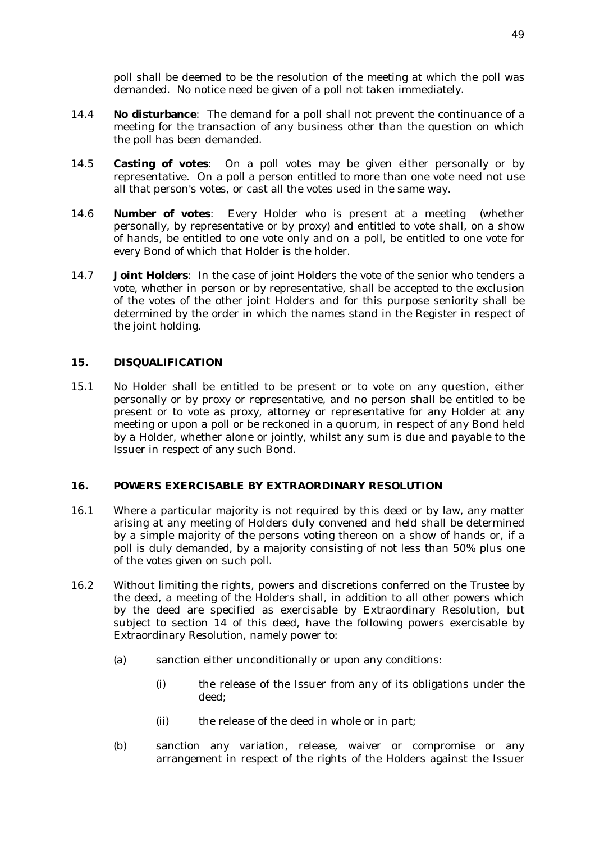poll shall be deemed to be the resolution of the meeting at which the poll was demanded. No notice need be given of a poll not taken immediately.

- 14.4 **No disturbance**: The demand for a poll shall not prevent the continuance of a meeting for the transaction of any business other than the question on which the poll has been demanded.
- 14.5 **Casting of votes**: On a poll votes may be given either personally or by representative. On a poll a person entitled to more than one vote need not use all that person's votes, or cast all the votes used in the same way.
- 14.6 **Number of votes**: Every Holder who is present at a meeting (whether personally, by representative or by proxy) and entitled to vote shall, on a show of hands, be entitled to one vote only and on a poll, be entitled to one vote for every Bond of which that Holder is the holder.
- 14.7 **Joint Holders**: In the case of joint Holders the vote of the senior who tenders a vote, whether in person or by representative, shall be accepted to the exclusion of the votes of the other joint Holders and for this purpose seniority shall be determined by the order in which the names stand in the Register in respect of the joint holding.

## **15. DISQUALIFICATION**

15.1 No Holder shall be entitled to be present or to vote on any question, either personally or by proxy or representative, and no person shall be entitled to be present or to vote as proxy, attorney or representative for any Holder at any meeting or upon a poll or be reckoned in a quorum, in respect of any Bond held by a Holder, whether alone or jointly, whilst any sum is due and payable to the Issuer in respect of any such Bond.

#### **16. POWERS EXERCISABLE BY EXTRAORDINARY RESOLUTION**

- 16.1 Where a particular majority is not required by this deed or by law, any matter arising at any meeting of Holders duly convened and held shall be determined by a simple majority of the persons voting thereon on a show of hands or, if a poll is duly demanded, by a majority consisting of not less than 50% plus one of the votes given on such poll.
- 16.2 Without limiting the rights, powers and discretions conferred on the Trustee by the deed, a meeting of the Holders shall, in addition to all other powers which by the deed are specified as exercisable by Extraordinary Resolution, but subject to section 14 of this deed, have the following powers exercisable by Extraordinary Resolution, namely power to:
	- (a) sanction either unconditionally or upon any conditions:
		- (i) the release of the Issuer from any of its obligations under the deed;
		- (ii) the release of the deed in whole or in part;
	- (b) sanction any variation, release, waiver or compromise or any arrangement in respect of the rights of the Holders against the Issuer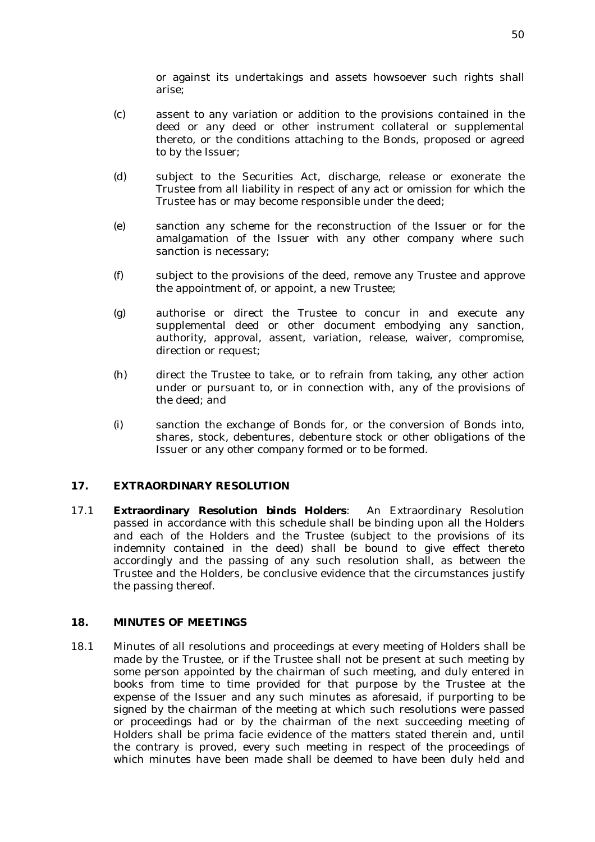or against its undertakings and assets howsoever such rights shall arise;

- (c) assent to any variation or addition to the provisions contained in the deed or any deed or other instrument collateral or supplemental thereto, or the conditions attaching to the Bonds, proposed or agreed to by the Issuer;
- (d) subject to the Securities Act, discharge, release or exonerate the Trustee from all liability in respect of any act or omission for which the Trustee has or may become responsible under the deed;
- (e) sanction any scheme for the reconstruction of the Issuer or for the amalgamation of the Issuer with any other company where such sanction is necessary;
- (f) subject to the provisions of the deed, remove any Trustee and approve the appointment of, or appoint, a new Trustee;
- (g) authorise or direct the Trustee to concur in and execute any supplemental deed or other document embodying any sanction, authority, approval, assent, variation, release, waiver, compromise, direction or request;
- (h) direct the Trustee to take, or to refrain from taking, any other action under or pursuant to, or in connection with, any of the provisions of the deed; and
- (i) sanction the exchange of Bonds for, or the conversion of Bonds into, shares, stock, debentures, debenture stock or other obligations of the Issuer or any other company formed or to be formed.

#### **17. EXTRAORDINARY RESOLUTION**

17.1 **Extraordinary Resolution binds Holders**: An Extraordinary Resolution passed in accordance with this schedule shall be binding upon all the Holders and each of the Holders and the Trustee (subject to the provisions of its indemnity contained in the deed) shall be bound to give effect thereto accordingly and the passing of any such resolution shall, as between the Trustee and the Holders, be conclusive evidence that the circumstances justify the passing thereof.

#### **18. MINUTES OF MEETINGS**

18.1 Minutes of all resolutions and proceedings at every meeting of Holders shall be made by the Trustee, or if the Trustee shall not be present at such meeting by some person appointed by the chairman of such meeting, and duly entered in books from time to time provided for that purpose by the Trustee at the expense of the Issuer and any such minutes as aforesaid, if purporting to be signed by the chairman of the meeting at which such resolutions were passed or proceedings had or by the chairman of the next succeeding meeting of Holders shall be prima facie evidence of the matters stated therein and, until the contrary is proved, every such meeting in respect of the proceedings of which minutes have been made shall be deemed to have been duly held and